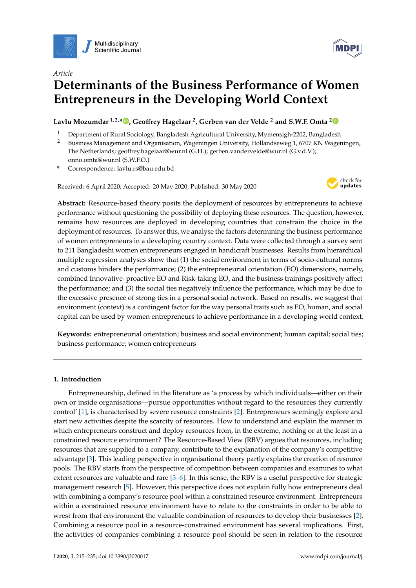

*Article*



# **Determinants of the Business Performance of Women Entrepreneurs in the Developing World Context**

# **Lavlu Mozumdar 1,2,\* [,](https://orcid.org/0000-0002-3730-3166) Geo**ff**rey Hagelaar <sup>2</sup> , Gerben van der Velde <sup>2</sup> and S.W.F. Omta [2](https://orcid.org/0000-0002-4237-4305)**

- <sup>1</sup> Department of Rural Sociology, Bangladesh Agricultural University, Mymensigh-2202, Bangladesh<br><sup>2</sup> Business Management and Organisation Magazingen University, Hollandeswee 1, 6707 KN Magaz
- <sup>2</sup> Business Management and Organisation, Wageningen University, Hollandseweg 1, 6707 KN Wageningen, The Netherlands; geoffrey.hagelaar@wur.nl (G.H.); gerben.vandervelde@wur.nl (G.v.d.V.); onno.omta@wur.nl (S.W.F.O.)
- **\*** Correspondence: lavlu.rs@bau.edu.bd

Received: 6 April 2020; Accepted: 20 May 2020; Published: 30 May 2020



**Abstract:** Resource-based theory posits the deployment of resources by entrepreneurs to achieve performance without questioning the possibility of deploying these resources. The question, however, remains how resources are deployed in developing countries that constrain the choice in the deployment of resources. To answer this, we analyse the factors determining the business performance of women entrepreneurs in a developing country context. Data were collected through a survey sent to 211 Bangladeshi women entrepreneurs engaged in handicraft businesses. Results from hierarchical multiple regression analyses show that (1) the social environment in terms of socio-cultural norms and customs hinders the performance; (2) the entrepreneurial orientation (EO) dimensions, namely, combined Innovative–proactive EO and Risk-taking EO, and the business trainings positively affect the performance; and (3) the social ties negatively influence the performance, which may be due to the excessive presence of strong ties in a personal social network. Based on results, we suggest that environment (context) is a contingent factor for the way personal traits such as EO, human, and social capital can be used by women entrepreneurs to achieve performance in a developing world context.

**Keywords:** entrepreneurial orientation; business and social environment; human capital; social ties; business performance; women entrepreneurs

# **1. Introduction**

Entrepreneurship, defined in the literature as 'a process by which individuals—either on their own or inside organisations—pursue opportunities without regard to the resources they currently control' [\[1\]](#page-14-0), is characterised by severe resource constraints [\[2\]](#page-14-1). Entrepreneurs seemingly explore and start new activities despite the scarcity of resources. How to understand and explain the manner in which entrepreneurs construct and deploy resources from, in the extreme, nothing or at the least in a constrained resource environment? The Resource-Based View (RBV) argues that resources, including resources that are supplied to a company, contribute to the explanation of the company's competitive advantage [\[3\]](#page-14-2). This leading perspective in organisational theory partly explains the creation of resource pools. The RBV starts from the perspective of competition between companies and examines to what extent resources are valuable and rare [\[3–](#page-14-2)[6\]](#page-14-3). In this sense, the RBV is a useful perspective for strategic management research [\[5\]](#page-14-4). However, this perspective does not explain fully how entrepreneurs deal with combining a company's resource pool within a constrained resource environment. Entrepreneurs within a constrained resource environment have to relate to the constraints in order to be able to wrest from that environment the valuable combination of resources to develop their businesses [\[2\]](#page-14-1). Combining a resource pool in a resource-constrained environment has several implications. First, the activities of companies combining a resource pool should be seen in relation to the resource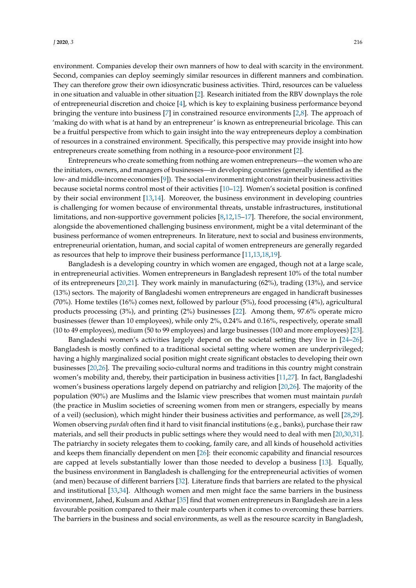environment. Companies develop their own manners of how to deal with scarcity in the environment. Second, companies can deploy seemingly similar resources in different manners and combination. They can therefore grow their own idiosyncratic business activities. Third, resources can be valueless in one situation and valuable in other situation [\[2\]](#page-14-1). Research initiated from the RBV downplays the role of entrepreneurial discretion and choice [\[4\]](#page-14-5), which is key to explaining business performance beyond bringing the venture into business [\[7\]](#page-14-6) in constrained resource environments [\[2,](#page-14-1)[8\]](#page-14-7). The approach of 'making do with what is at hand by an entrepreneur' is known as entrepreneurial bricolage. This can be a fruitful perspective from which to gain insight into the way entrepreneurs deploy a combination of resources in a constrained environment. Specifically, this perspective may provide insight into how entrepreneurs create something from nothing in a resource-poor environment [\[2\]](#page-14-1).

Entrepreneurs who create something from nothing are women entrepreneurs—the women who are the initiators, owners, and managers of businesses—in developing countries (generally identified as the low- and middle-income economies [\[9\]](#page-14-8)). The social environment might constrain their business activities because societal norms control most of their activities [\[10](#page-14-9)[–12\]](#page-15-0). Women's societal position is confined by their social environment [\[13,](#page-15-1)[14\]](#page-15-2). Moreover, the business environment in developing countries is challenging for women because of environmental threats, unstable infrastructures, institutional limitations, and non-supportive government policies [\[8,](#page-14-7)[12,](#page-15-0)[15](#page-15-3)[–17\]](#page-15-4). Therefore, the social environment, alongside the abovementioned challenging business environment, might be a vital determinant of the business performance of women entrepreneurs. In literature, next to social and business environments, entrepreneurial orientation, human, and social capital of women entrepreneurs are generally regarded as resources that help to improve their business performance [\[11](#page-15-5)[,13](#page-15-1)[,18](#page-15-6)[,19\]](#page-15-7).

Bangladesh is a developing country in which women are engaged, though not at a large scale, in entrepreneurial activities. Women entrepreneurs in Bangladesh represent 10% of the total number of its entrepreneurs [\[20](#page-15-8)[,21\]](#page-15-9). They work mainly in manufacturing (62%), trading (13%), and service (13%) sectors. The majority of Bangladeshi women entrepreneurs are engaged in handicraft businesses (70%). Home textiles (16%) comes next, followed by parlour (5%), food processing (4%), agricultural products processing (3%), and printing (2%) businesses [\[22\]](#page-15-10). Among them, 97.6% operate micro businesses (fewer than 10 employees), while only 2%, 0.24% and 0.16%, respectively, operate small (10 to 49 employees), medium (50 to 99 employees) and large businesses (100 and more employees) [\[23\]](#page-15-11).

Bangladeshi women's activities largely depend on the societal setting they live in [\[24–](#page-15-12)[26\]](#page-15-13). Bangladesh is mostly confined to a traditional societal setting where women are underprivileged; having a highly marginalized social position might create significant obstacles to developing their own businesses [\[20,](#page-15-8)[26\]](#page-15-13). The prevailing socio-cultural norms and traditions in this country might constrain women's mobility and, thereby, their participation in business activities [\[11](#page-15-5)[,27\]](#page-15-14). In fact, Bangladeshi women's business operations largely depend on patriarchy and religion [\[20](#page-15-8)[,26\]](#page-15-13). The majority of the population (90%) are Muslims and the Islamic view prescribes that women must maintain *purdah* (the practice in Muslim societies of screening women from men or strangers, especially by means of a veil) (seclusion), which might hinder their business activities and performance, as well [\[28,](#page-15-15)[29\]](#page-15-16). Women observing *purdah* often find it hard to visit financial institutions (e.g., banks), purchase their raw materials, and sell their products in public settings where they would need to deal with men [\[20](#page-15-8)[,30](#page-15-17)[,31\]](#page-15-18). The patriarchy in society relegates them to cooking, family care, and all kinds of household activities and keeps them financially dependent on men [\[26\]](#page-15-13): their economic capability and financial resources are capped at levels substantially lower than those needed to develop a business [\[13\]](#page-15-1). Equally, the business environment in Bangladesh is challenging for the entrepreneurial activities of women (and men) because of different barriers [\[32\]](#page-15-19). Literature finds that barriers are related to the physical and institutional [\[33,](#page-15-20)[34\]](#page-15-21). Although women and men might face the same barriers in the business environment, Jahed, Kulsum and Akthar [\[35\]](#page-15-22) find that women entrepreneurs in Bangladesh are in a less favourable position compared to their male counterparts when it comes to overcoming these barriers. The barriers in the business and social environments, as well as the resource scarcity in Bangladesh,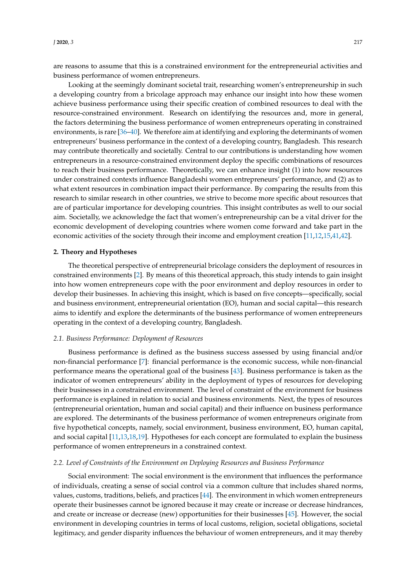are reasons to assume that this is a constrained environment for the entrepreneurial activities and business performance of women entrepreneurs.

Looking at the seemingly dominant societal trait, researching women's entrepreneurship in such a developing country from a bricolage approach may enhance our insight into how these women achieve business performance using their specific creation of combined resources to deal with the resource-constrained environment. Research on identifying the resources and, more in general, the factors determining the business performance of women entrepreneurs operating in constrained environments, is rare [\[36–](#page-15-23)[40\]](#page-16-0). We therefore aim at identifying and exploring the determinants of women entrepreneurs' business performance in the context of a developing country, Bangladesh. This research may contribute theoretically and societally. Central to our contributions is understanding how women entrepreneurs in a resource-constrained environment deploy the specific combinations of resources to reach their business performance. Theoretically, we can enhance insight (1) into how resources under constrained contexts influence Bangladeshi women entrepreneurs' performance, and (2) as to what extent resources in combination impact their performance. By comparing the results from this research to similar research in other countries, we strive to become more specific about resources that are of particular importance for developing countries. This insight contributes as well to our social aim. Societally, we acknowledge the fact that women's entrepreneurship can be a vital driver for the economic development of developing countries where women come forward and take part in the economic activities of the society through their income and employment creation [\[11,](#page-15-5)[12,](#page-15-0)[15,](#page-15-3)[41,](#page-16-1)[42\]](#page-16-2).

#### **2. Theory and Hypotheses**

The theoretical perspective of entrepreneurial bricolage considers the deployment of resources in constrained environments [\[2\]](#page-14-1). By means of this theoretical approach, this study intends to gain insight into how women entrepreneurs cope with the poor environment and deploy resources in order to develop their businesses. In achieving this insight, which is based on five concepts—specifically, social and business environment, entrepreneurial orientation (EO), human and social capital—this research aims to identify and explore the determinants of the business performance of women entrepreneurs operating in the context of a developing country, Bangladesh.

## *2.1. Business Performance: Deployment of Resources*

Business performance is defined as the business success assessed by using financial and/or non-financial performance [\[7\]](#page-14-6): financial performance is the economic success, while non-financial performance means the operational goal of the business [\[43\]](#page-16-3). Business performance is taken as the indicator of women entrepreneurs' ability in the deployment of types of resources for developing their businesses in a constrained environment. The level of constraint of the environment for business performance is explained in relation to social and business environments. Next, the types of resources (entrepreneurial orientation, human and social capital) and their influence on business performance are explored. The determinants of the business performance of women entrepreneurs originate from five hypothetical concepts, namely, social environment, business environment, EO, human capital, and social capital [\[11](#page-15-5)[,13](#page-15-1)[,18](#page-15-6)[,19\]](#page-15-7). Hypotheses for each concept are formulated to explain the business performance of women entrepreneurs in a constrained context.

#### *2.2. Level of Constraints of the Environment on Deploying Resources and Business Performance*

Social environment: The social environment is the environment that influences the performance of individuals, creating a sense of social control via a common culture that includes shared norms, values, customs, traditions, beliefs, and practices [\[44\]](#page-16-4). The environment in which women entrepreneurs operate their businesses cannot be ignored because it may create or increase or decrease hindrances, and create or increase or decrease (new) opportunities for their businesses [\[45\]](#page-16-5). However, the social environment in developing countries in terms of local customs, religion, societal obligations, societal legitimacy, and gender disparity influences the behaviour of women entrepreneurs, and it may thereby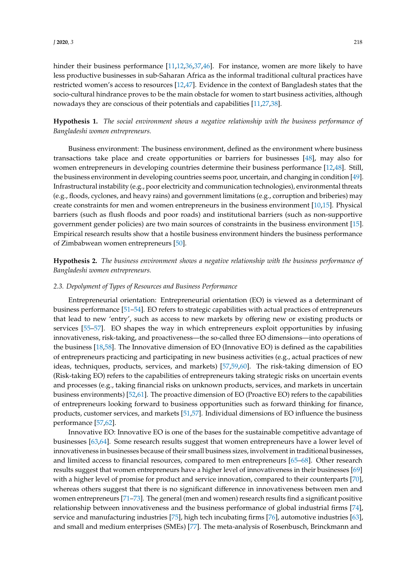hinder their business performance [\[11,](#page-15-5)[12,](#page-15-0)[36,](#page-15-23)[37,](#page-16-6)[46\]](#page-16-7). For instance, women are more likely to have less productive businesses in sub-Saharan Africa as the informal traditional cultural practices have restricted women's access to resources [\[12,](#page-15-0)[47\]](#page-16-8). Evidence in the context of Bangladesh states that the socio-cultural hindrance proves to be the main obstacle for women to start business activities, although nowadays they are conscious of their potentials and capabilities [\[11](#page-15-5)[,27](#page-15-14)[,38\]](#page-16-9).

# **Hypothesis 1.** *The social environment shows a negative relationship with the business performance of Bangladeshi women entrepreneurs.*

Business environment: The business environment, defined as the environment where business transactions take place and create opportunities or barriers for businesses [\[48\]](#page-16-10), may also for women entrepreneurs in developing countries determine their business performance [\[12,](#page-15-0)[48\]](#page-16-10). Still, the business environment in developing countries seems poor, uncertain, and changing in condition [\[49\]](#page-16-11). Infrastructural instability (e.g., poor electricity and communication technologies), environmental threats (e.g., floods, cyclones, and heavy rains) and government limitations (e.g., corruption and briberies) may create constraints for men and women entrepreneurs in the business environment [\[10,](#page-14-9)[15\]](#page-15-3). Physical barriers (such as flush floods and poor roads) and institutional barriers (such as non-supportive government gender policies) are two main sources of constraints in the business environment [\[15\]](#page-15-3). Empirical research results show that a hostile business environment hinders the business performance of Zimbabwean women entrepreneurs [\[50\]](#page-16-12).

**Hypothesis 2.** *The business environment shows a negative relationship with the business performance of Bangladeshi women entrepreneurs.*

## *2.3. Depolyment of Types of Resources and Business Performance*

Entrepreneurial orientation: Entrepreneurial orientation (EO) is viewed as a determinant of business performance [\[51–](#page-16-13)[54\]](#page-16-14). EO refers to strategic capabilities with actual practices of entrepreneurs that lead to new 'entry', such as access to new markets by offering new or existing products or services [\[55–](#page-16-15)[57\]](#page-16-16). EO shapes the way in which entrepreneurs exploit opportunities by infusing innovativeness, risk-taking, and proactiveness—the so-called three EO dimensions—into operations of the business [\[18](#page-15-6)[,58\]](#page-16-17). The Innovative dimension of EO (Innovative EO) is defined as the capabilities of entrepreneurs practicing and participating in new business activities (e.g., actual practices of new ideas, techniques, products, services, and markets) [\[57](#page-16-16)[,59,](#page-16-18)[60\]](#page-16-19). The risk-taking dimension of EO (Risk-taking EO) refers to the capabilities of entrepreneurs taking strategic risks on uncertain events and processes (e.g., taking financial risks on unknown products, services, and markets in uncertain business environments) [\[52,](#page-16-20)[61\]](#page-16-21). The proactive dimension of EO (Proactive EO) refers to the capabilities of entrepreneurs looking forward to business opportunities such as forward thinking for finance, products, customer services, and markets [\[51,](#page-16-13)[57\]](#page-16-16). Individual dimensions of EO influence the business performance [\[57,](#page-16-16)[62\]](#page-17-0).

Innovative EO: Innovative EO is one of the bases for the sustainable competitive advantage of businesses [\[63](#page-17-1)[,64\]](#page-17-2). Some research results suggest that women entrepreneurs have a lower level of innovativeness in businesses because of their small business sizes, involvement in traditional businesses, and limited access to financial resources, compared to men entrepreneurs [\[65](#page-17-3)[–68\]](#page-17-4). Other research results suggest that women entrepreneurs have a higher level of innovativeness in their businesses [\[69\]](#page-17-5) with a higher level of promise for product and service innovation, compared to their counterparts [\[70\]](#page-17-6), whereas others suggest that there is no significant difference in innovativeness between men and women entrepreneurs [\[71](#page-17-7)[–73\]](#page-17-8). The general (men and women) research results find a significant positive relationship between innovativeness and the business performance of global industrial firms [\[74\]](#page-17-9), service and manufacturing industries [\[75\]](#page-17-10), high tech incubating firms [\[76\]](#page-17-11), automotive industries [\[63\]](#page-17-1), and small and medium enterprises (SMEs) [\[77\]](#page-17-12). The meta-analysis of Rosenbusch, Brinckmann and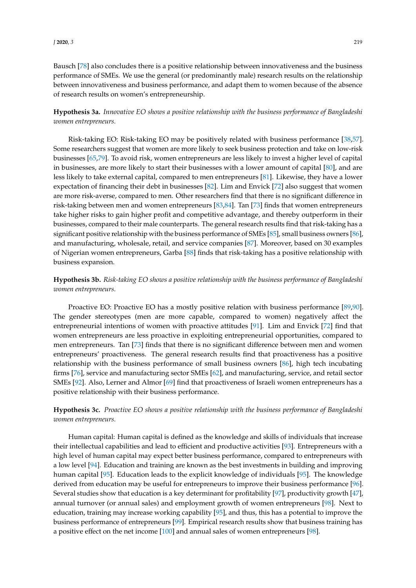Bausch [\[78\]](#page-17-13) also concludes there is a positive relationship between innovativeness and the business performance of SMEs. We use the general (or predominantly male) research results on the relationship between innovativeness and business performance, and adapt them to women because of the absence of research results on women's entrepreneurship.

**Hypothesis 3a.** *Innovative EO shows a positive relationship with the business performance of Bangladeshi women entrepreneurs.*

Risk-taking EO: Risk-taking EO may be positively related with business performance [\[38,](#page-16-9)[57\]](#page-16-16). Some researchers suggest that women are more likely to seek business protection and take on low-risk businesses [\[65](#page-17-3)[,79\]](#page-17-14). To avoid risk, women entrepreneurs are less likely to invest a higher level of capital in businesses, are more likely to start their businesses with a lower amount of capital [\[80\]](#page-17-15), and are less likely to take external capital, compared to men entrepreneurs [\[81\]](#page-17-16). Likewise, they have a lower expectation of financing their debt in businesses [\[82\]](#page-17-17). Lim and Envick [\[72\]](#page-17-18) also suggest that women are more risk-averse, compared to men. Other researchers find that there is no significant difference in risk-taking between men and women entrepreneurs [\[83,](#page-17-19)[84\]](#page-17-20). Tan [\[73\]](#page-17-8) finds that women entrepreneurs take higher risks to gain higher profit and competitive advantage, and thereby outperform in their businesses, compared to their male counterparts. The general research results find that risk-taking has a significant positive relationship with the business performance of SMEs [\[85\]](#page-17-21), small business owners [\[86\]](#page-17-22), and manufacturing, wholesale, retail, and service companies [\[87\]](#page-17-23). Moreover, based on 30 examples of Nigerian women entrepreneurs, Garba [\[88\]](#page-18-0) finds that risk-taking has a positive relationship with business expansion.

**Hypothesis 3b.** *Risk-taking EO shows a positive relationship with the business performance of Bangladeshi women entrepreneurs.*

Proactive EO: Proactive EO has a mostly positive relation with business performance [\[89,](#page-18-1)[90\]](#page-18-2). The gender stereotypes (men are more capable, compared to women) negatively affect the entrepreneurial intentions of women with proactive attitudes [\[91\]](#page-18-3). Lim and Envick [\[72\]](#page-17-18) find that women entrepreneurs are less proactive in exploiting entrepreneurial opportunities, compared to men entrepreneurs. Tan [\[73\]](#page-17-8) finds that there is no significant difference between men and women entrepreneurs' proactiveness. The general research results find that proactiveness has a positive relationship with the business performance of small business owners [\[86\]](#page-17-22), high tech incubating firms [\[76\]](#page-17-11), service and manufacturing sector SMEs [\[62\]](#page-17-0), and manufacturing, service, and retail sector SMEs [\[92\]](#page-18-4). Also, Lerner and Almor [\[69\]](#page-17-5) find that proactiveness of Israeli women entrepreneurs has a positive relationship with their business performance.

**Hypothesis 3c.** *Proactive EO shows a positive relationship with the business performance of Bangladeshi women entrepreneurs.*

Human capital: Human capital is defined as the knowledge and skills of individuals that increase their intellectual capabilities and lead to efficient and productive activities [\[93\]](#page-18-5). Entrepreneurs with a high level of human capital may expect better business performance, compared to entrepreneurs with a low level [\[94\]](#page-18-6). Education and training are known as the best investments in building and improving human capital [\[95\]](#page-18-7). Education leads to the explicit knowledge of individuals [\[95\]](#page-18-7). The knowledge derived from education may be useful for entrepreneurs to improve their business performance [\[96\]](#page-18-8). Several studies show that education is a key determinant for profitability [\[97\]](#page-18-9), productivity growth [\[47\]](#page-16-8), annual turnover (or annual sales) and employment growth of women entrepreneurs [\[98\]](#page-18-10). Next to education, training may increase working capability [\[95\]](#page-18-7), and thus, this has a potential to improve the business performance of entrepreneurs [\[99\]](#page-18-11). Empirical research results show that business training has a positive effect on the net income [\[100\]](#page-18-12) and annual sales of women entrepreneurs [\[98\]](#page-18-10).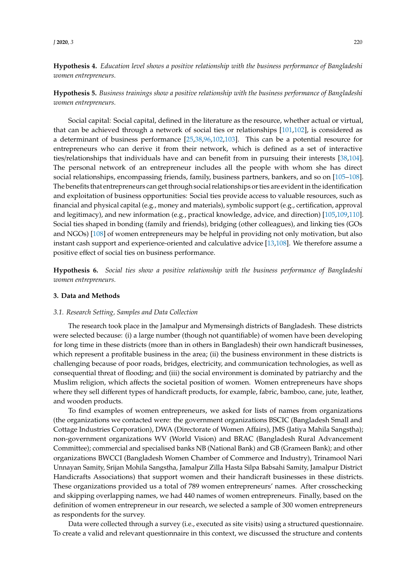*J* **2020**, *3* 220

**Hypothesis 4.** *Education level shows a positive relationship with the business performance of Bangladeshi women entrepreneurs.*

**Hypothesis 5.** *Business trainings show a positive relationship with the business performance of Bangladeshi women entrepreneurs.*

Social capital: Social capital, defined in the literature as the resource, whether actual or virtual, that can be achieved through a network of social ties or relationships [\[101](#page-18-13)[,102\]](#page-18-14), is considered as a determinant of business performance [\[25,](#page-15-24)[38,](#page-16-9)[96,](#page-18-8)[102,](#page-18-14)[103\]](#page-18-15). This can be a potential resource for entrepreneurs who can derive it from their network, which is defined as a set of interactive ties/relationships that individuals have and can benefit from in pursuing their interests [\[38,](#page-16-9)[104\]](#page-18-16). The personal network of an entrepreneur includes all the people with whom she has direct social relationships, encompassing friends, family, business partners, bankers, and so on [\[105–](#page-18-17)[108\]](#page-18-18). The benefits that entrepreneurs can get through social relationships or ties are evident in the identification and exploitation of business opportunities: Social ties provide access to valuable resources, such as financial and physical capital (e.g., money and materials), symbolic support (e.g., certification, approval and legitimacy), and new information (e.g., practical knowledge, advice, and direction) [\[105](#page-18-17)[,109](#page-18-19)[,110\]](#page-18-20). Social ties shaped in bonding (family and friends), bridging (other colleagues), and linking ties (GOs and NGOs) [\[108\]](#page-18-18) of women entrepreneurs may be helpful in providing not only motivation, but also instant cash support and experience-oriented and calculative advice [\[13,](#page-15-1)[108\]](#page-18-18). We therefore assume a positive effect of social ties on business performance.

**Hypothesis 6.** *Social ties show a positive relationship with the business performance of Bangladeshi women entrepreneurs.*

# **3. Data and Methods**

#### *3.1. Research Setting, Samples and Data Collection*

The research took place in the Jamalpur and Mymensingh districts of Bangladesh. These districts were selected because: (i) a large number (though not quantifiable) of women have been developing for long time in these districts (more than in others in Bangladesh) their own handicraft businesses, which represent a profitable business in the area; (ii) the business environment in these districts is challenging because of poor roads, bridges, electricity, and communication technologies, as well as consequential threat of flooding; and (iii) the social environment is dominated by patriarchy and the Muslim religion, which affects the societal position of women. Women entrepreneurs have shops where they sell different types of handicraft products, for example, fabric, bamboo, cane, jute, leather, and wooden products.

To find examples of women entrepreneurs, we asked for lists of names from organizations (the organizations we contacted were: the government organizations BSCIC (Bangladesh Small and Cottage Industries Corporation), DWA (Directorate of Women Affairs), JMS (Jatiya Mahila Sangstha); non-government organizations WV (World Vision) and BRAC (Bangladesh Rural Advancement Committee); commercial and specialised banks NB (National Bank) and GB (Grameen Bank); and other organizations BWCCI (Bangladesh Women Chamber of Commerce and Industry), Trinamool Nari Unnayan Samity, Srijan Mohila Sangstha, Jamalpur Zilla Hasta Silpa Babsahi Samity, Jamalpur District Handicrafts Associations) that support women and their handicraft businesses in these districts. These organizations provided us a total of 789 women entrepreneurs' names. After crosschecking and skipping overlapping names, we had 440 names of women entrepreneurs. Finally, based on the definition of women entrepreneur in our research, we selected a sample of 300 women entrepreneurs as respondents for the survey.

Data were collected through a survey (i.e., executed as site visits) using a structured questionnaire. To create a valid and relevant questionnaire in this context, we discussed the structure and contents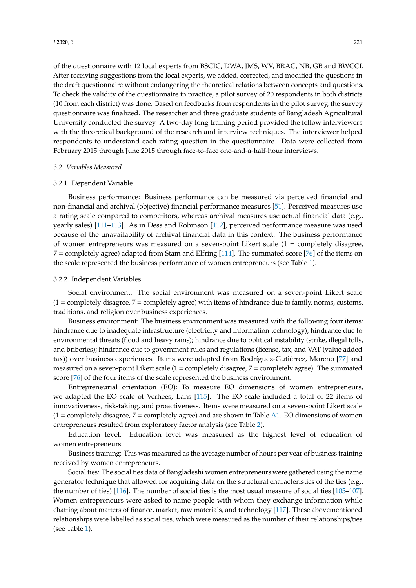*J* **2020**, *3* 221

of the questionnaire with 12 local experts from BSCIC, DWA, JMS, WV, BRAC, NB, GB and BWCCI. After receiving suggestions from the local experts, we added, corrected, and modified the questions in the draft questionnaire without endangering the theoretical relations between concepts and questions. To check the validity of the questionnaire in practice, a pilot survey of 20 respondents in both districts (10 from each district) was done. Based on feedbacks from respondents in the pilot survey, the survey questionnaire was finalized. The researcher and three graduate students of Bangladesh Agricultural University conducted the survey. A two-day long training period provided the fellow interviewers with the theoretical background of the research and interview techniques. The interviewer helped respondents to understand each rating question in the questionnaire. Data were collected from February 2015 through June 2015 through face-to-face one-and-a-half-hour interviews.

## *3.2. Variables Measured*

## 3.2.1. Dependent Variable

Business performance: Business performance can be measured via perceived financial and non-financial and archival (objective) financial performance measures [\[51\]](#page-16-13). Perceived measures use a rating scale compared to competitors, whereas archival measures use actual financial data (e.g., yearly sales) [\[111–](#page-18-21)[113\]](#page-18-22). As in Dess and Robinson [\[112\]](#page-18-23), perceived performance measure was used because of the unavailability of archival financial data in this context. The business performance of women entrepreneurs was measured on a seven-point Likert scale (1 = completely disagree, 7 = completely agree) adapted from Stam and Elfring [\[114\]](#page-19-0). The summated score [\[76\]](#page-17-11) of the items on the scale represented the business performance of women entrepreneurs (see Table [1\)](#page-7-0).

## 3.2.2. Independent Variables

Social environment: The social environment was measured on a seven-point Likert scale  $(1 = \text{completely disagree}, 7 = \text{completely agree})$  with items of hindrance due to family, norms, customs, traditions, and religion over business experiences.

Business environment: The business environment was measured with the following four items: hindrance due to inadequate infrastructure (electricity and information technology); hindrance due to environmental threats (flood and heavy rains); hindrance due to political instability (strike, illegal tolls, and briberies); hindrance due to government rules and regulations (license, tax, and VAT (value added tax)) over business experiences. Items were adapted from Rodríguez-Gutiérrez, Moreno [\[77\]](#page-17-12) and measured on a seven-point Likert scale (1 = completely disagree, 7 = completely agree). The summated score [\[76\]](#page-17-11) of the four items of the scale represented the business environment.

Entrepreneurial orientation (EO): To measure EO dimensions of women entrepreneurs, we adapted the EO scale of Verhees, Lans [\[115\]](#page-19-1). The EO scale included a total of 22 items of innovativeness, risk-taking, and proactiveness. Items were measured on a seven-point Likert scale  $(1 =$  completely disagree,  $7 =$  completely agree) and are shown in Table [A1.](#page-14-10) EO dimensions of women entrepreneurs resulted from exploratory factor analysis (see Table [2\)](#page-7-1).

Education level: Education level was measured as the highest level of education of women entrepreneurs.

Business training: This was measured as the average number of hours per year of business training received by women entrepreneurs.

Social ties: The social ties data of Bangladeshi women entrepreneurs were gathered using the name generator technique that allowed for acquiring data on the structural characteristics of the ties (e.g., the number of ties) [\[116\]](#page-19-2). The number of social ties is the most usual measure of social ties [\[105–](#page-18-17)[107\]](#page-18-24). Women entrepreneurs were asked to name people with whom they exchange information while chatting about matters of finance, market, raw materials, and technology [\[117\]](#page-19-3). These abovementioned relationships were labelled as social ties, which were measured as the number of their relationships/ties (see Table [1\)](#page-7-0).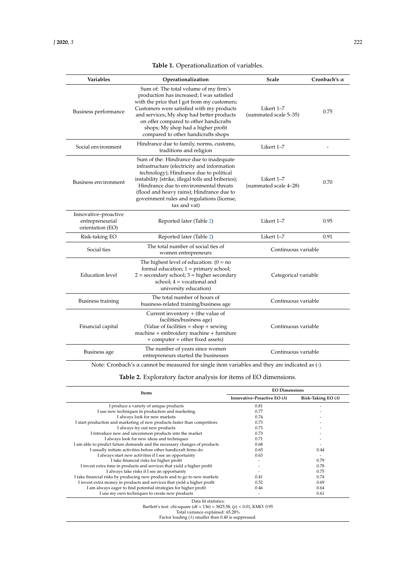| <b>Table 1.</b> Operationalization of variables. |  |  |  |
|--------------------------------------------------|--|--|--|
|--------------------------------------------------|--|--|--|

<span id="page-7-0"></span>

| <b>Variables</b>                                            | Operationalization                                                                                                                                                                                                                                                                                                                                  | Scale                               | Cronbach's $\alpha$ |  |
|-------------------------------------------------------------|-----------------------------------------------------------------------------------------------------------------------------------------------------------------------------------------------------------------------------------------------------------------------------------------------------------------------------------------------------|-------------------------------------|---------------------|--|
| Business performance                                        | Sum of: The total volume of my firm's<br>production has increased; I was satisfied<br>with the price that I got from my customers;<br>Customers were satisfied with my products<br>and services; My shop had better products<br>on offer compared to other handicrafts<br>shops; My shop had a higher profit<br>compared to other handicrafts shops | Likert 1-7<br>(summated scale 5-35) | 0.75                |  |
| Social environment                                          | Hindrance due to family, norms, customs,<br>traditions and religion                                                                                                                                                                                                                                                                                 | Likert 1-7                          |                     |  |
| <b>Business environment</b>                                 | Sum of the: Hindrance due to inadequate<br>infrastructure (electricity and information<br>technology); Hindrance due to political<br>instability (strike, illegal tolls and briberies);<br>Hindrance due to environmental threats<br>(flood and heavy rains); Hindrance due to<br>government rules and regulations (license,<br>tax and vat)        | Likert 1–7<br>(summated scale 4-28) | 0.70                |  |
| Innovative-proactive<br>entrepreneurial<br>orientation (EO) | Reported later (Table 2)                                                                                                                                                                                                                                                                                                                            | Likert 1–7                          | 0.95                |  |
| Risk-taking EO                                              | Reported later (Table 2)                                                                                                                                                                                                                                                                                                                            | Likert 1-7                          | 0.91                |  |
| Social ties                                                 | The total number of social ties of<br>women entrepreneurs                                                                                                                                                                                                                                                                                           | Continuous variable                 |                     |  |
| <b>Education</b> level                                      | The highest level of education: $(0 = no$<br>formal education; $1 =$ primary school;<br>$2 =$ secondary school; $3 =$ higher secondary<br>school; $4 =$ vocational and<br>university education)                                                                                                                                                     | Categorical variable                |                     |  |
| Business training                                           | The total number of hours of<br>business-related training/business age                                                                                                                                                                                                                                                                              | Continuous variable                 |                     |  |
| Financial capital                                           | Current inventory + (the value of<br>facilities/business age)<br>(Value of facilities $=$ shop $+$ sewing<br>machine + embroidery machine + furniture<br>+ computer + other fixed assets)                                                                                                                                                           | Continuous variable                 |                     |  |
| Business age                                                | The number of years since women<br>entrepreneurs started the businesses                                                                                                                                                                                                                                                                             | Continuous variable                 |                     |  |

Note: Cronbach's α cannot be measured for single item variables and they are indicated as (-).

**Table 2.** Exploratory factor analysis for items of EO dimensions.

<span id="page-7-1"></span>

| Items                                                                                           | <b>EO Dimensions</b>                |                            |  |  |  |
|-------------------------------------------------------------------------------------------------|-------------------------------------|----------------------------|--|--|--|
|                                                                                                 | Innovative-Proactive EO $(\lambda)$ | Risk-Taking EO $(\lambda)$ |  |  |  |
| I produce a variety of unique products                                                          | 0.81                                |                            |  |  |  |
| I use new techniques in production and marketing                                                | 0.77                                |                            |  |  |  |
| I always look for new markets                                                                   | 0.74                                |                            |  |  |  |
| I start production and marketing of new products faster than competitors                        | 0.73                                |                            |  |  |  |
| I always try out new products                                                                   | 0.73                                |                            |  |  |  |
| I introduce new and uncommon products into the market                                           | 0.73                                |                            |  |  |  |
| I always look for new ideas and techniques                                                      | 0.71                                |                            |  |  |  |
| I am able to predict future demands and the necessary changes of products                       | 0.68                                |                            |  |  |  |
| I usually initiate activities before other handicraft firms do                                  | 0.65                                | 0.44                       |  |  |  |
| I always start new activities if I see an opportunity                                           | 0.63                                |                            |  |  |  |
| I take financial risks for higher profit                                                        |                                     | 0.79                       |  |  |  |
| I invest extra time in products and services that yield a higher profit                         |                                     | 0.78                       |  |  |  |
| I always take risks if I see an opportunity                                                     |                                     | 0.75                       |  |  |  |
| I take financial risks by producing new products and to go to new markets                       | 0.41                                | 0.74                       |  |  |  |
| I invest extra money in products and services that yield a higher profit                        | 0.52                                | 0.69                       |  |  |  |
| I am always eager to find potential strategies for higher profit                                | 0.46                                | 0.64                       |  |  |  |
| I use my own techniques to create new products                                                  |                                     | 0.61                       |  |  |  |
| Data fit statistics:<br>Bartlett's test: chi-square (df = 136) = 3825.58, (p) < 0.01; KMO: 0.95 |                                     |                            |  |  |  |
| Total variance explained: 65.28%                                                                |                                     |                            |  |  |  |
| Factor loading $(\lambda)$ smaller than 0.40 is suppressed.                                     |                                     |                            |  |  |  |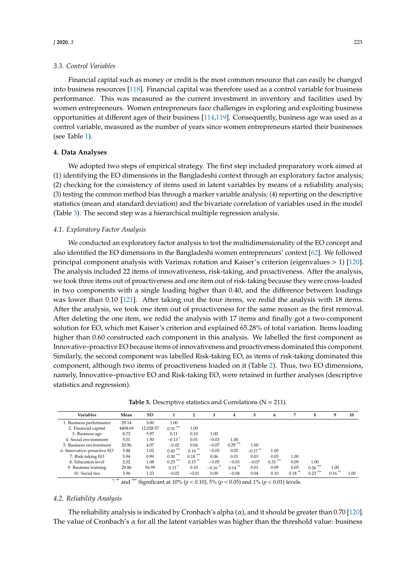Financial capital such as money or credit is the most common resource that can easily be changed into business resources [\[118\]](#page-19-4). Financial capital was therefore used as a control variable for business performance. This was measured as the current investment in inventory and facilities used by women entrepreneurs. Women entrepreneurs face challenges in exploring and exploiting business opportunities at different ages of their business [\[114,](#page-19-0)[119\]](#page-19-5). Consequently, business age was used as a control variable, measured as the number of years since women entrepreneurs started their businesses (see Table [1\)](#page-7-0).

## **4. Data Analyses**

We adopted two steps of empirical strategy. The first step included preparatory work aimed at (1) identifying the EO dimensions in the Bangladeshi context through an exploratory factor analysis; (2) checking for the consistency of items used in latent variables by means of a reliability analysis; (3) testing the common method bias through a marker variable analysis; (4) reporting on the descriptive statistics (mean and standard deviation) and the bivariate correlation of variables used in the model (Table [3\)](#page-8-0). The second step was a hierarchical multiple regression analysis.

# *4.1. Exploratory Factor Analysis*

We conducted an exploratory factor analysis to test the multidimensionality of the EO concept and also identified the EO dimensions in the Bangladeshi women entrepreneurs' context [\[62\]](#page-17-0). We followed principal component analysis with Varimax rotation and Kaiser's criterion (eigenvalues > 1) [\[120\]](#page-19-6). The analysis included 22 items of innovativeness, risk-taking, and proactiveness. After the analysis, we took three items out of proactiveness and one item out of risk-taking because they were cross-loaded in two components with a single loading higher than 0.40, and the difference between loadings was lower than 0.10 [\[121\]](#page-19-7). After taking out the four items, we redid the analysis with 18 items. After the analysis, we took one item out of proactiveness for the same reason as the first removal. After deleting the one item, we redid the analysis with 17 items and finally got a two-component solution for EO, which met Kaiser's criterion and explained 65.28% of total variation. Items loading higher than 0.60 constructed each component in this analysis. We labelled the first component as Innovative–proactive EO because items of innovativeness and proactiveness dominated this component. Similarly, the second component was labelled Risk-taking EO, as items of risk-taking dominated this component, although two items of proactiveness loaded on it (Table [2\)](#page-7-1). Thus, two EO dimensions, namely, Innovative–proactive EO and Risk-taking EO, were retained in further analyses (descriptive statistics and regression).

| <b>Table 3.</b> Descriptive statistics and Correlations ( $N = 211$ ). |
|------------------------------------------------------------------------|
|------------------------------------------------------------------------|

<span id="page-8-0"></span>

| <b>Variables</b>           | Mean    | SD        |                     |           | 3                     | 4                    | 5          | 6         |           | 8          |                      | 10   |
|----------------------------|---------|-----------|---------------------|-----------|-----------------------|----------------------|------------|-----------|-----------|------------|----------------------|------|
| 1. Business performance    | 29.14   | 3.00      | 1.00                |           |                       |                      |            |           |           |            |                      |      |
| 2. Financial capital       | 4408.69 | 12.028.57 | $0.31***$           | 1.00      |                       |                      |            |           |           |            |                      |      |
| 3. Business age            | 8.73    | 5.97      | 0.11                | 0.10      | 1.00                  |                      |            |           |           |            |                      |      |
| 4. Social environment      | 5.01    | 1.50      | $-0.13$             | 0.01      | $-0.03$               | 1.00                 |            |           |           |            |                      |      |
| 5. Business environment    | 20.96   | 4.07      | $-0.02$             | 0.06      | $-0.07$               | $0.29***$            | 1.00       |           |           |            |                      |      |
| 6. Innovative-proactive EO | 5.88    | 1.02      | $0.43***$           | $0.16$ ** | $-0.03$               | 0.02                 | $-0.17$ ** | 1.00      |           |            |                      |      |
| 7. Risk-taking EO          | 5.94    | 0.99      | $0.30***$           | $0.18***$ | 0.06                  | 0.01                 | 0.03       | 0.03      | 1.00      |            |                      |      |
| 8. Education level         | 2.02    | 1.08      | $0.25***$           | $0.15$ ** | $-0.05$               | $-0.03$              | $-0.07$    | $0.33***$ | 0.09      | 1.00       |                      |      |
| 9. Business training       | 29.86   | 56.99     | $0.13$ <sup>*</sup> | 0.10      | $-0.16$ <sup>**</sup> | $0.14$ <sup>**</sup> | 0.01       | 0.09      | 0.05      | $0.26$ *** | 1.00                 |      |
| 10. Social ties            | 3.96    | 1.23      | $-0.02$             | $-0.01$   | 0.09                  | $-0.08$              | 0.04       | 0.10      | $0.18***$ | $0.23***$  | $0.16$ <sup>**</sup> | 1.00 |

\*, \*\* and \*\*\* Significant at 10% ( $p < 0.10$ ), 5% ( $p < 0.05$ ) and 1% ( $p < 0.01$ ) levels.

#### *4.2. Reliability Analysis*

The reliability analysis is indicated by Cronbach's alpha  $(\alpha)$ , and it should be greater than 0.70 [\[120\]](#page-19-6). The value of Cronbach's  $\alpha$  for all the latent variables was higher than the threshold value: business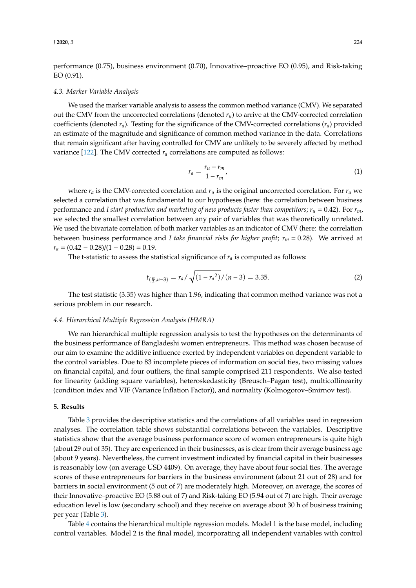performance (0.75), business environment (0.70), Innovative–proactive EO (0.95), and Risk-taking EO (0.91).

#### *4.3. Marker Variable Analysis*

We used the marker variable analysis to assess the common method variance (CMV). We separated out the CMV from the uncorrected correlations (denoted  $r<sub>u</sub>$ ) to arrive at the CMV-corrected correlation coefficients (denoted  $r_a$ ). Testing for the significance of the CMV-corrected correlations  $(r_a)$  provided an estimate of the magnitude and significance of common method variance in the data. Correlations that remain significant after having controlled for CMV are unlikely to be severely affected by method variance [\[122\]](#page-19-8). The CMV corrected *r<sup>a</sup>* correlations are computed as follows:

$$
r_a = \frac{r_u - r_m}{1 - r_m},\tag{1}
$$

where  $r_a$  is the CMV-corrected correlation and  $r_u$  is the original uncorrected correlation. For  $r_u$  we selected a correlation that was fundamental to our hypotheses (here: the correlation between business performance and *I start production and marketing of new products faster than competitors;*  $r_u = 0.42$ *). For*  $r_m$ *,* we selected the smallest correlation between any pair of variables that was theoretically unrelated. We used the bivariate correlation of both marker variables as an indicator of CMV (here: the correlation between business performance and *I take financial risks for higher profit*;  $r_m = 0.28$ ). We arrived at  $r_a = (0.42 - 0.28)/(1 - 0.28) = 0.19.$ 

The t-statistic to assess the statistical significance of  $r_a$  is computed as follows:

$$
t_{(\frac{\alpha}{2}, n-3)} = r_a / \sqrt{(1 - r_a^2) / (n-3)} = 3.35. \tag{2}
$$

The test statistic (3.35) was higher than 1.96, indicating that common method variance was not a serious problem in our research.

#### *4.4. Hierarchical Multiple Regression Analysis (HMRA)*

We ran hierarchical multiple regression analysis to test the hypotheses on the determinants of the business performance of Bangladeshi women entrepreneurs. This method was chosen because of our aim to examine the additive influence exerted by independent variables on dependent variable to the control variables. Due to 83 incomplete pieces of information on social ties, two missing values on financial capital, and four outliers, the final sample comprised 211 respondents. We also tested for linearity (adding square variables), heteroskedasticity (Breusch–Pagan test), multicollinearity (condition index and VIF (Variance Inflation Factor)), and normality (Kolmogorov–Smirnov test).

#### **5. Results**

Table [3](#page-8-0) provides the descriptive statistics and the correlations of all variables used in regression analyses. The correlation table shows substantial correlations between the variables. Descriptive statistics show that the average business performance score of women entrepreneurs is quite high (about 29 out of 35). They are experienced in their businesses, as is clear from their average business age (about 9 years). Nevertheless, the current investment indicated by financial capital in their businesses is reasonably low (on average USD 4409). On average, they have about four social ties. The average scores of these entrepreneurs for barriers in the business environment (about 21 out of 28) and for barriers in social environment (5 out of 7) are moderately high. Moreover, on average, the scores of their Innovative–proactive EO (5.88 out of 7) and Risk-taking EO (5.94 out of 7) are high. Their average education level is low (secondary school) and they receive on average about 30 h of business training per year (Table [3\)](#page-8-0).

Table [4](#page-10-0) contains the hierarchical multiple regression models. Model 1 is the base model, including control variables. Model 2 is the final model, incorporating all independent variables with control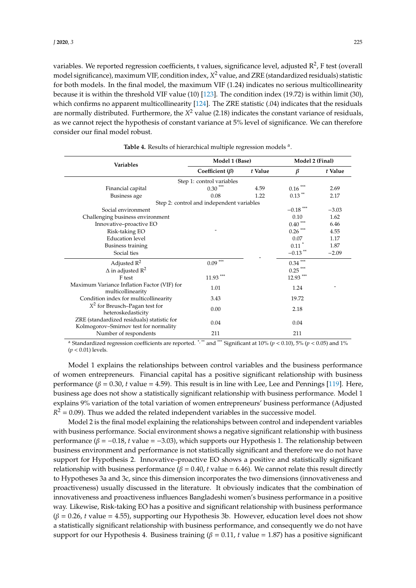variables. We reported regression coefficients, t values, significance level, adjusted R<sup>2</sup>, F test (overall model significance), maximum VIF, condition index, *X* <sup>2</sup> value, and ZRE (standardized residuals) statistic for both models. In the final model, the maximum VIF (1.24) indicates no serious multicollinearity because it is within the threshold VIF value (10) [\[123\]](#page-19-9). The condition index (19.72) is within limit (30), which confirms no apparent multicollinearity [\[124\]](#page-19-10). The ZRE statistic (.04) indicates that the residuals are normally distributed. Furthermore, the *X* <sup>2</sup> value (2.18) indicates the constant variance of residuals, as we cannot reject the hypothesis of constant variance at 5% level of significance. We can therefore consider our final model robust.

<span id="page-10-0"></span>

| Variables                                                                           | Model 1 (Base)                            |         | Model 2 (Final)                        |         |  |  |
|-------------------------------------------------------------------------------------|-------------------------------------------|---------|----------------------------------------|---------|--|--|
|                                                                                     | Coefficient $(\beta)$                     | t Value | β                                      | t Value |  |  |
|                                                                                     | Step 1: control variables                 |         |                                        |         |  |  |
| Financial capital                                                                   | $0.30***$                                 | 4.59    | $0.16$ $\hspace{0.1cm}^{\ast\ast\ast}$ | 2.69    |  |  |
| Business age                                                                        | 0.08                                      | 1.22    | $0.13$ **                              | 2.17    |  |  |
|                                                                                     | Step 2: control and independent variables |         |                                        |         |  |  |
| Social environment                                                                  |                                           |         | $-0.18$ ***                            | $-3.03$ |  |  |
| Challenging business environment                                                    |                                           |         | 0.10                                   | 1.62    |  |  |
| Innovative-proactive EO                                                             |                                           |         | $0.40$ $\sp{^{***}}$                   | 6.46    |  |  |
| Risk-taking EO                                                                      |                                           |         | $0.26$ $\hspace{0.1cm}^{\ast\ast\ast}$ | 4.55    |  |  |
| <b>Education</b> level                                                              |                                           |         | 0.07                                   | 1.17    |  |  |
| <b>Business training</b>                                                            |                                           |         | $0.11$ <sup>*</sup>                    | 1.87    |  |  |
| Social ties                                                                         |                                           |         | $-0.13$ <sup>**</sup>                  | $-2.09$ |  |  |
| Adjusted $R^2$                                                                      | $0.09$ $\hspace{0.1cm}^{\ast\ast\ast}$    |         | $0.34$ $\hspace{-1.5mm}^{***}$         |         |  |  |
| $\Delta$ in adjusted R <sup>2</sup>                                                 |                                           |         | $0.25$ ***                             |         |  |  |
| F test                                                                              | $11.93***$                                |         | $12.93***$                             |         |  |  |
| Maximum Variance Inflation Factor (VIF) for<br>multicollinearity                    | 1.01                                      |         | 1.24                                   |         |  |  |
| Condition index for multicollinearity                                               | 3.43                                      |         | 19.72                                  |         |  |  |
| $X^2$ for Breusch–Pagan test for<br>heteroskedasticity                              | 0.00                                      |         | 2.18                                   |         |  |  |
| ZRE (standardized residuals) statistic for<br>Kolmogorov-Smirnov test for normality | 0.04                                      |         | 0.04                                   |         |  |  |
| Number of respondents                                                               | 211                                       |         | 211                                    |         |  |  |

| Table 4. Results of hierarchical multiple regression models <sup>a</sup> |  |
|--------------------------------------------------------------------------|--|
|--------------------------------------------------------------------------|--|

.

<sup>a</sup> Standardized regression coefficients are reported. \*,\*\* and \*\*\* Significant at  $10\%$  ( $p < 0.10$ ), 5% ( $p < 0.05$ ) and 1% (*p* < 0.01) levels.

Model 1 explains the relationships between control variables and the business performance of women entrepreneurs. Financial capital has a positive significant relationship with business performance (β = 0.30, *t* value = 4.59). This result is in line with Lee, Lee and Pennings [\[119\]](#page-19-5). Here, business age does not show a statistically significant relationship with business performance. Model 1 explains 9% variation of the total variation of women entrepreneurs' business performance (Adjusted  $R^2$  = 0.09). Thus we added the related independent variables in the successive model.

Model 2 is the final model explaining the relationships between control and independent variables with business performance. Social environment shows a negative significant relationship with business performance ( $\beta = -0.18$ , *t* value =  $-3.03$ ), which supports our Hypothesis 1. The relationship between business environment and performance is not statistically significant and therefore we do not have support for Hypothesis 2. Innovative–proactive EO shows a positive and statistically significant relationship with business performance  $(β = 0.40, t$  value = 6.46). We cannot relate this result directly to Hypotheses 3a and 3c, since this dimension incorporates the two dimensions (innovativeness and proactiveness) usually discussed in the literature. It obviously indicates that the combination of innovativeness and proactiveness influences Bangladeshi women's business performance in a positive way. Likewise, Risk-taking EO has a positive and significant relationship with business performance  $(\beta = 0.26, t$  value = 4.55), supporting our Hypothesis 3b. However, education level does not show a statistically significant relationship with business performance, and consequently we do not have support for our Hypothesis 4. Business training  $(\beta = 0.11, t$  value = 1.87) has a positive significant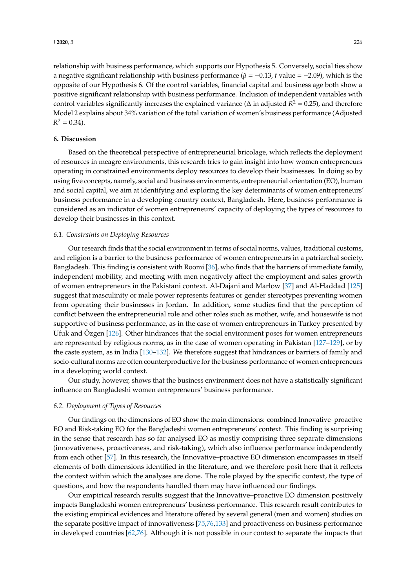relationship with business performance, which supports our Hypothesis 5. Conversely, social ties show a negative significant relationship with business performance ( $β = -0.13$ , *t* value =  $-2.09$ ), which is the opposite of our Hypothesis 6. Of the control variables, financial capital and business age both show a positive significant relationship with business performance. Inclusion of independent variables with control variables significantly increases the explained variance ( $\Delta$  in adjusted  $R^2 = 0.25$ ), and therefore Model 2 explains about 34% variation of the total variation of women's business performance (Adjusted  $R^2 = 0.34$ .

## **6. Discussion**

Based on the theoretical perspective of entrepreneurial bricolage, which reflects the deployment of resources in meagre environments, this research tries to gain insight into how women entrepreneurs operating in constrained environments deploy resources to develop their businesses. In doing so by using five concepts, namely, social and business environments, entrepreneurial orientation (EO), human and social capital, we aim at identifying and exploring the key determinants of women entrepreneurs' business performance in a developing country context, Bangladesh. Here, business performance is considered as an indicator of women entrepreneurs' capacity of deploying the types of resources to develop their businesses in this context.

# *6.1. Constraints on Deploying Resources*

Our research finds that the social environment in terms of social norms, values, traditional customs, and religion is a barrier to the business performance of women entrepreneurs in a patriarchal society, Bangladesh. This finding is consistent with Roomi [\[36\]](#page-15-23), who finds that the barriers of immediate family, independent mobility, and meeting with men negatively affect the employment and sales growth of women entrepreneurs in the Pakistani context. Al-Dajani and Marlow [\[37\]](#page-16-6) and Al-Haddad [\[125\]](#page-19-11) suggest that masculinity or male power represents features or gender stereotypes preventing women from operating their businesses in Jordan. In addition, some studies find that the perception of conflict between the entrepreneurial role and other roles such as mother, wife, and housewife is not supportive of business performance, as in the case of women entrepreneurs in Turkey presented by Ufuk and Özgen [\[126\]](#page-19-12). Other hindrances that the social environment poses for women entrepreneurs are represented by religious norms, as in the case of women operating in Pakistan [\[127–](#page-19-13)[129\]](#page-19-14), or by the caste system, as in India [\[130–](#page-19-15)[132\]](#page-19-16). We therefore suggest that hindrances or barriers of family and socio-cultural norms are often counterproductive for the business performance of women entrepreneurs in a developing world context.

Our study, however, shows that the business environment does not have a statistically significant influence on Bangladeshi women entrepreneurs' business performance.

#### *6.2. Deployment of Types of Resources*

Our findings on the dimensions of EO show the main dimensions: combined Innovative–proactive EO and Risk-taking EO for the Bangladeshi women entrepreneurs' context. This finding is surprising in the sense that research has so far analysed EO as mostly comprising three separate dimensions (innovativeness, proactiveness, and risk-taking), which also influence performance independently from each other [\[57\]](#page-16-16). In this research, the Innovative–proactive EO dimension encompasses in itself elements of both dimensions identified in the literature, and we therefore posit here that it reflects the context within which the analyses are done. The role played by the specific context, the type of questions, and how the respondents handled them may have influenced our findings.

Our empirical research results suggest that the Innovative–proactive EO dimension positively impacts Bangladeshi women entrepreneurs' business performance. This research result contributes to the existing empirical evidences and literature offered by several general (men and women) studies on the separate positive impact of innovativeness [\[75](#page-17-10)[,76](#page-17-11)[,133\]](#page-19-17) and proactiveness on business performance in developed countries [\[62](#page-17-0)[,76\]](#page-17-11). Although it is not possible in our context to separate the impacts that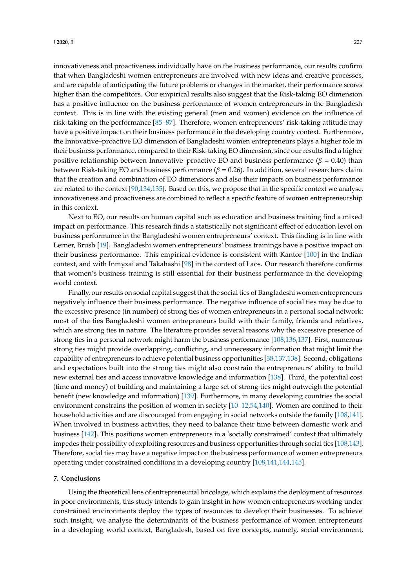innovativeness and proactiveness individually have on the business performance, our results confirm

that when Bangladeshi women entrepreneurs are involved with new ideas and creative processes, and are capable of anticipating the future problems or changes in the market, their performance scores higher than the competitors. Our empirical results also suggest that the Risk-taking EO dimension has a positive influence on the business performance of women entrepreneurs in the Bangladesh context. This is in line with the existing general (men and women) evidence on the influence of risk-taking on the performance [\[85](#page-17-21)[–87\]](#page-17-23). Therefore, women entrepreneurs' risk-taking attitude may have a positive impact on their business performance in the developing country context. Furthermore, the Innovative–proactive EO dimension of Bangladeshi women entrepreneurs plays a higher role in their business performance, compared to their Risk-taking EO dimension, since our results find a higher positive relationship between Innovative–proactive EO and business performance ( $\beta = 0.40$ ) than between Risk-taking EO and business performance ( $\beta$  = 0.26). In addition, several researchers claim that the creation and combination of EO dimensions and also their impacts on business performance are related to the context [\[90](#page-18-2)[,134,](#page-19-18)[135\]](#page-19-19). Based on this, we propose that in the specific context we analyse, innovativeness and proactiveness are combined to reflect a specific feature of women entrepreneurship in this context.

Next to EO, our results on human capital such as education and business training find a mixed impact on performance. This research finds a statistically not significant effect of education level on business performance in the Bangladeshi women entrepreneurs' context. This finding is in line with Lerner, Brush [\[19\]](#page-15-7). Bangladeshi women entrepreneurs' business trainings have a positive impact on their business performance. This empirical evidence is consistent with Kantor [\[100\]](#page-18-12) in the Indian context, and with Inmyxai and Takahashi [\[98\]](#page-18-10) in the context of Laos. Our research therefore confirms that women's business training is still essential for their business performance in the developing world context.

Finally, our results on social capital suggest that the social ties of Bangladeshi women entrepreneurs negatively influence their business performance. The negative influence of social ties may be due to the excessive presence (in number) of strong ties of women entrepreneurs in a personal social network: most of the ties Bangladeshi women entrepreneurs build with their family, friends and relatives, which are strong ties in nature. The literature provides several reasons why the excessive presence of strong ties in a personal network might harm the business performance [\[108](#page-18-18)[,136,](#page-19-20)[137\]](#page-19-21). First, numerous strong ties might provide overlapping, conflicting, and unnecessary information that might limit the capability of entrepreneurs to achieve potential business opportunities [\[38,](#page-16-9)[137](#page-19-21)[,138\]](#page-19-22). Second, obligations and expectations built into the strong ties might also constrain the entrepreneurs' ability to build new external ties and access innovative knowledge and information [\[138\]](#page-19-22). Third, the potential cost (time and money) of building and maintaining a large set of strong ties might outweigh the potential benefit (new knowledge and information) [\[139\]](#page-19-23). Furthermore, in many developing countries the social environment constrains the position of women in society [\[10–](#page-14-9)[12,](#page-15-0)[54,](#page-16-14)[140\]](#page-19-24). Women are confined to their household activities and are discouraged from engaging in social networks outside the family [\[108](#page-18-18)[,141\]](#page-19-25). When involved in business activities, they need to balance their time between domestic work and business [\[142\]](#page-19-26). This positions women entrepreneurs in a 'socially constrained' context that ultimately impedes their possibility of exploiting resources and business opportunities through social ties [\[108](#page-18-18)[,143\]](#page-20-0). Therefore, social ties may have a negative impact on the business performance of women entrepreneurs operating under constrained conditions in a developing country [\[108,](#page-18-18)[141,](#page-19-25)[144,](#page-20-1)[145\]](#page-20-2).

## **7. Conclusions**

Using the theoretical lens of entrepreneurial bricolage, which explains the deployment of resources in poor environments, this study intends to gain insight in how women entrepreneurs working under constrained environments deploy the types of resources to develop their businesses. To achieve such insight, we analyse the determinants of the business performance of women entrepreneurs in a developing world context, Bangladesh, based on five concepts, namely, social environment,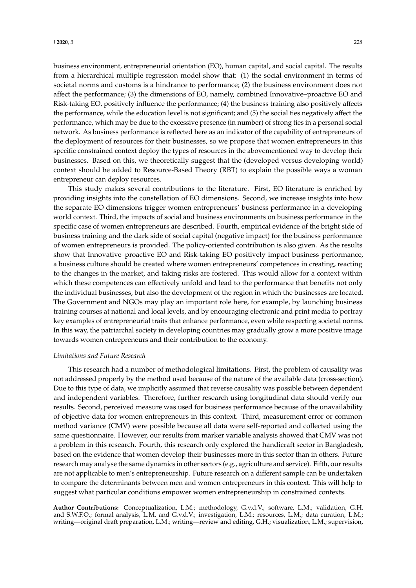business environment, entrepreneurial orientation (EO), human capital, and social capital. The results from a hierarchical multiple regression model show that: (1) the social environment in terms of societal norms and customs is a hindrance to performance; (2) the business environment does not affect the performance; (3) the dimensions of EO, namely, combined Innovative–proactive EO and Risk-taking EO, positively influence the performance; (4) the business training also positively affects the performance, while the education level is not significant; and (5) the social ties negatively affect the performance, which may be due to the excessive presence (in number) of strong ties in a personal social network. As business performance is reflected here as an indicator of the capability of entrepreneurs of the deployment of resources for their businesses, so we propose that women entrepreneurs in this specific constrained context deploy the types of resources in the abovementioned way to develop their businesses. Based on this, we theoretically suggest that the (developed versus developing world) context should be added to Resource-Based Theory (RBT) to explain the possible ways a woman entrepreneur can deploy resources.

This study makes several contributions to the literature. First, EO literature is enriched by providing insights into the constellation of EO dimensions. Second, we increase insights into how the separate EO dimensions trigger women entrepreneurs' business performance in a developing world context. Third, the impacts of social and business environments on business performance in the specific case of women entrepreneurs are described. Fourth, empirical evidence of the bright side of business training and the dark side of social capital (negative impact) for the business performance of women entrepreneurs is provided. The policy-oriented contribution is also given. As the results show that Innovative–proactive EO and Risk-taking EO positively impact business performance, a business culture should be created where women entrepreneurs' competences in creating, reacting to the changes in the market, and taking risks are fostered. This would allow for a context within which these competences can effectively unfold and lead to the performance that benefits not only the individual businesses, but also the development of the region in which the businesses are located. The Government and NGOs may play an important role here, for example, by launching business training courses at national and local levels, and by encouraging electronic and print media to portray key examples of entrepreneurial traits that enhance performance, even while respecting societal norms. In this way, the patriarchal society in developing countries may gradually grow a more positive image towards women entrepreneurs and their contribution to the economy.

#### *Limitations and Future Research*

This research had a number of methodological limitations. First, the problem of causality was not addressed properly by the method used because of the nature of the available data (cross-section). Due to this type of data, we implicitly assumed that reverse causality was possible between dependent and independent variables. Therefore, further research using longitudinal data should verify our results. Second, perceived measure was used for business performance because of the unavailability of objective data for women entrepreneurs in this context. Third, measurement error or common method variance (CMV) were possible because all data were self-reported and collected using the same questionnaire. However, our results from marker variable analysis showed that CMV was not a problem in this research. Fourth, this research only explored the handicraft sector in Bangladesh, based on the evidence that women develop their businesses more in this sector than in others. Future research may analyse the same dynamics in other sectors (e.g., agriculture and service). Fifth, our results are not applicable to men's entrepreneurship. Future research on a different sample can be undertaken to compare the determinants between men and women entrepreneurs in this context. This will help to suggest what particular conditions empower women entrepreneurship in constrained contexts.

**Author Contributions:** Conceptualization, L.M.; methodology, G.v.d.V.; software, L.M.; validation, G.H. and S.W.F.O.; formal analysis, L.M. and G.v.d.V.; investigation, L.M.; resources, L.M.; data curation, L.M.; writing—original draft preparation, L.M.; writing—review and editing, G.H.; visualization, L.M.; supervision,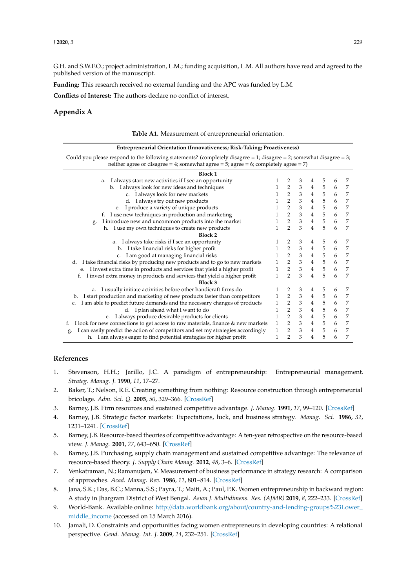G.H. and S.W.F.O.; project administration, L.M.; funding acquisition, L.M. All authors have read and agreed to the published version of the manuscript.

**Funding:** This research received no external funding and the APC was funded by L.M.

**Conflicts of Interest:** The authors declare no conflict of interest.

# <span id="page-14-10"></span>**Appendix A**

| <b>Entrepreneurial Orientation (Innovativeness; Risk-Taking; Proactiveness)</b>                                                                                                                                               |              |                                       |                             |                 |                                                 |   |                |
|-------------------------------------------------------------------------------------------------------------------------------------------------------------------------------------------------------------------------------|--------------|---------------------------------------|-----------------------------|-----------------|-------------------------------------------------|---|----------------|
| Could you please respond to the following statements? (completely disagree $= 1$ ; disagree $= 2$ ; somewhat disagree $= 3$ ;<br>neither agree or disagree = 4; somewhat agree = $5$ ; agree = $6$ ; completely agree = $7$ ) |              |                                       |                             |                 |                                                 |   |                |
| <b>Block 1</b>                                                                                                                                                                                                                |              |                                       |                             |                 |                                                 |   |                |
| I always start new activities if I see an opportunity<br>a.                                                                                                                                                                   | 1            | 2                                     | 3                           | 4               | 5                                               | 6 | 7              |
| b. I always look for new ideas and techniques                                                                                                                                                                                 | 1            | 2                                     | $\ensuremath{\mathsf{3}}$   | $\overline{4}$  | 5                                               | 6 | 7              |
| c. I always look for new markets                                                                                                                                                                                              | 1            | 2                                     | $\ensuremath{\mathbf{3}}$   | $\overline{4}$  | 5                                               | 6 | 7              |
| d. I always try out new products                                                                                                                                                                                              | 1            | $\sqrt{2}$                            | $\ensuremath{\mathfrak{Z}}$ | $\overline{4}$  | $\begin{array}{c} 5 \\ 5 \\ 5 \\ 5 \end{array}$ | 6 | 7              |
| I produce a variety of unique products<br>e.                                                                                                                                                                                  | $\mathbf{1}$ | $\sqrt{2}$                            | $\ensuremath{\mathfrak{Z}}$ | $\overline{4}$  |                                                 | 6 | $\overline{7}$ |
| f. I use new techniques in production and marketing                                                                                                                                                                           | $\mathbf{1}$ | $\overline{\mathbf{2}}$               | $\ensuremath{\mathfrak{Z}}$ | $\overline{4}$  |                                                 | 6 | $\overline{7}$ |
| I introduce new and uncommon products into the market<br>g.                                                                                                                                                                   | 1            | $\overline{2}$                        | 3                           | $\overline{4}$  |                                                 | 6 | 7              |
| h. I use my own techniques to create new products                                                                                                                                                                             | 1            | $\mathcal{P}$                         | 3                           | $\overline{4}$  | 5                                               | 6 | 7              |
| <b>Block 2</b>                                                                                                                                                                                                                |              |                                       |                             |                 |                                                 |   |                |
| a. I always take risks if I see an opportunity                                                                                                                                                                                | 1            | 2                                     | 3                           | 4               | 5                                               | 6 | 7              |
| b. I take financial risks for higher profit                                                                                                                                                                                   | $\mathbf{1}$ | $\sqrt{2}$                            | $\ensuremath{\mathfrak{Z}}$ | 4               | 5                                               | 6 | 7              |
| c. I am good at managing financial risks                                                                                                                                                                                      | $\mathbf{1}$ | $\sqrt{2}$                            | $\ensuremath{\mathfrak{Z}}$ | $\overline{4}$  |                                                 | 6 | 7              |
| d. I take financial risks by producing new products and to go to new markets                                                                                                                                                  | $\mathbf{1}$ | $\begin{array}{c} 2 \\ 2 \end{array}$ | $\frac{3}{3}$               | $4\overline{ }$ | $\begin{array}{c} 5 \\ 5 \\ 5 \end{array}$      | 6 | $\overline{7}$ |
| e. I invest extra time in products and services that yield a higher profit                                                                                                                                                    | $\mathbf{1}$ |                                       |                             | $\overline{4}$  |                                                 | 6 | 7              |
| f. I invest extra money in products and services that yield a higher profit                                                                                                                                                   | 1            | $\overline{2}$                        | 3                           | $\overline{4}$  | 5                                               | 6 | 7              |
| <b>Block 3</b>                                                                                                                                                                                                                |              |                                       |                             |                 |                                                 |   |                |
| a. I usually initiate activities before other handicraft firms do                                                                                                                                                             | 1            | 2                                     | 3                           | 4               | 5                                               | 6 | 7              |
| I start production and marketing of new products faster than competitors<br>b.                                                                                                                                                | 1            | $\overline{2}$                        | 3                           | 4               | 5                                               | 6 | 7              |
| I am able to predict future demands and the necessary changes of products<br>c.                                                                                                                                               | 1            | $\overline{2}$                        | $\ensuremath{\mathfrak{Z}}$ | $\overline{4}$  | 5                                               | 6 | 7              |
| d. I plan ahead what I want to do                                                                                                                                                                                             | $\mathbf{1}$ | $\sqrt{2}$                            | $\ensuremath{\mathfrak{Z}}$ | $\overline{4}$  | 5                                               | 6 | 7              |
| e. I always produce desirable products for clients                                                                                                                                                                            | $\mathbf{1}$ | $\overline{2}$                        | $\mathfrak{Z}$              | $\overline{4}$  | 5                                               | 6 | 7              |
| I look for new connections to get access to raw materials, finance & new markets<br>f.                                                                                                                                        | $\mathbf{1}$ | 2                                     | 3                           | $\overline{4}$  | $\sqrt{5}$                                      | 6 | 7              |
| I can easily predict the action of competitors and set my strategies accordingly<br>g.                                                                                                                                        | $\mathbf{1}$ | $\sqrt{2}$                            | $\mathfrak{Z}$              | $\overline{4}$  | 5                                               | 6 | 7              |
| h. I am always eager to find potential strategies for higher profit                                                                                                                                                           | $\mathbf{1}$ | $\overline{2}$                        | 3                           | $\overline{4}$  | 5                                               | 6 | 7              |

# **Table A1.** Measurement of entrepreneurial orientation.

#### **References**

- <span id="page-14-0"></span>1. Stevenson, H.H.; Jarillo, J.C. A paradigm of entrepreneurship: Entrepreneurial management. *Strateg. Manag. J.* **1990**, *11*, 17–27.
- <span id="page-14-1"></span>2. Baker, T.; Nelson, R.E. Creating something from nothing: Resource construction through entrepreneurial bricolage. *Adm. Sci. Q.* **2005**, *50*, 329–366. [\[CrossRef\]](http://dx.doi.org/10.2189/asqu.2005.50.3.329)
- <span id="page-14-2"></span>3. Barney, J.B. Firm resources and sustained competitive advantage. *J. Manag.* **1991**, *17*, 99–120. [\[CrossRef\]](http://dx.doi.org/10.1177/014920639101700108)
- <span id="page-14-5"></span>4. Barney, J.B. Strategic factor markets: Expectations, luck, and business strategy. *Manag. Sci.* **1986**, *32*, 1231–1241. [\[CrossRef\]](http://dx.doi.org/10.1287/mnsc.32.10.1231)
- <span id="page-14-4"></span>5. Barney, J.B. Resource-based theories of competitive advantage: A ten-year retrospective on the resource-based view. *J. Manag.* **2001**, *27*, 643–650. [\[CrossRef\]](http://dx.doi.org/10.1177/014920630102700602)
- <span id="page-14-3"></span>6. Barney, J.B. Purchasing, supply chain management and sustained competitive advantage: The relevance of resource-based theory. *J. Supply Chain Manag.* **2012**, *48*, 3–6. [\[CrossRef\]](http://dx.doi.org/10.1111/j.1745-493X.2012.03265.x)
- <span id="page-14-6"></span>7. Venkatraman, N.; Ramanujam, V. Measurement of business performance in strategy research: A comparison of approaches. *Acad. Manag. Rev.* **1986**, *11*, 801–814. [\[CrossRef\]](http://dx.doi.org/10.5465/amr.1986.4283976)
- <span id="page-14-7"></span>8. Jana, S.K.; Das, B.C.; Manna, S.S.; Payra, T.; Maiti, A.; Paul, P.K. Women entrepreneurship in backward region: A study in Jhargram District of West Bengal. *Asian J. Multidimens. Res. (AJMR)* **2019**, *8*, 222–233. [\[CrossRef\]](http://dx.doi.org/10.5958/2278-4853.2019.00099.5)
- <span id="page-14-8"></span>9. World-Bank. Available online: http://data.worldbank.org/about/[country-and-lending-groups%23Lower\\_](http://data.worldbank.org/about/country-and-lending-groups%23Lower_middle_income) [middle\\_income](http://data.worldbank.org/about/country-and-lending-groups%23Lower_middle_income) (accessed on 15 March 2016).
- <span id="page-14-9"></span>10. Jamali, D. Constraints and opportunities facing women entrepreneurs in developing countries: A relational perspective. *Gend. Manag. Int. J.* **2009**, *24*, 232–251. [\[CrossRef\]](http://dx.doi.org/10.1108/17542410910961532)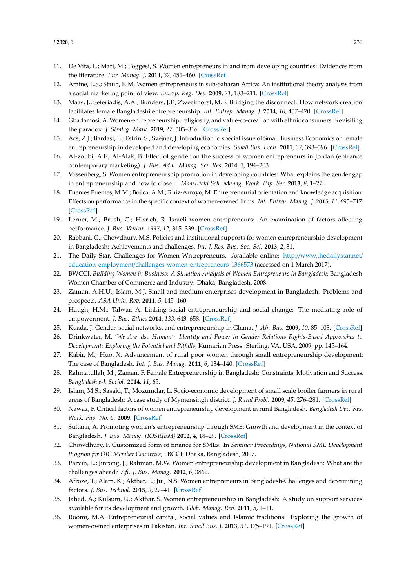- <span id="page-15-5"></span>11. De Vita, L.; Mari, M.; Poggesi, S. Women entrepreneurs in and from developing countries: Evidences from the literature. *Eur. Manag. J.* **2014**, *32*, 451–460. [\[CrossRef\]](http://dx.doi.org/10.1016/j.emj.2013.07.009)
- <span id="page-15-0"></span>12. Amine, L.S.; Staub, K.M. Women entrepreneurs in sub-Saharan Africa: An institutional theory analysis from a social marketing point of view. *Entrep. Reg. Dev.* **2009**, *21*, 183–211. [\[CrossRef\]](http://dx.doi.org/10.1080/08985620802182144)
- <span id="page-15-1"></span>13. Maas, J.; Seferiadis, A.A.; Bunders, J.F.; Zweekhorst, M.B. Bridging the disconnect: How network creation facilitates female Bangladeshi entrepreneurship. *Int. Entrep. Manag. J.* **2014**, *10*, 457–470. [\[CrossRef\]](http://dx.doi.org/10.1007/s11365-014-0299-2)
- <span id="page-15-2"></span>14. Gbadamosi, A. Women-entrepreneurship, religiosity, and value-co-creation with ethnic consumers: Revisiting the paradox. *J. Strateg. Mark.* **2019**, *27*, 303–316. [\[CrossRef\]](http://dx.doi.org/10.1080/0965254X.2017.1344293)
- <span id="page-15-3"></span>15. Acs, Z.J.; Bardasi, E.; Estrin, S.; Svejnar, J. Introduction to special issue of Small Business Economics on female entrepreneurship in developed and developing economies. *Small Bus. Econ.* **2011**, *37*, 393–396. [\[CrossRef\]](http://dx.doi.org/10.1007/s11187-011-9372-1)
- 16. Al-zoubi, A.F.; Al-Alak, B. Effect of gender on the success of women entrepreneurs in Jordan (entrance contemporary marketing). *J. Bus. Adm. Manag. Sci. Res.* **2014**, *3*, 194–203.
- <span id="page-15-4"></span>17. Vossenberg, S. Women entrepreneurship promotion in developing countries: What explains the gender gap in entrepreneurship and how to close it. *Maastricht Sch. Manag. Work. Pap. Ser.* **2013**, *8*, 1–27.
- <span id="page-15-6"></span>18. Fuentes Fuentes, M.M.; Bojica, A.M.; Ruiz-Arroyo, M. Entrepreneurial orientation and knowledge acquisition: Effects on performance in the specific context of women-owned firms. *Int. Entrep. Manag. J.* **2015**, *11*, 695–717. [\[CrossRef\]](http://dx.doi.org/10.1007/s11365-014-0336-1)
- <span id="page-15-7"></span>19. Lerner, M.; Brush, C.; Hisrich, R. Israeli women entrepreneurs: An examination of factors affecting performance. *J. Bus. Ventur.* **1997**, *12*, 315–339. [\[CrossRef\]](http://dx.doi.org/10.1016/S0883-9026(96)00061-4)
- <span id="page-15-8"></span>20. Rabbani, G.; Chowdhury, M.S. Policies and institutional supports for women entrepreneurship development in Bangladesh: Achievements and challenges. *Int. J. Res. Bus. Soc. Sci.* **2013**, *2*, 31.
- <span id="page-15-9"></span>21. The-Daily-Star, Challenges for Women Wntrepreneurs. Available online: http://[www.thedailystar.net](http://www.thedailystar.net/education-employment/challenges-women-entrepreneurs-1366573)/ education-employment/[challenges-women-entrepreneurs-1366573](http://www.thedailystar.net/education-employment/challenges-women-entrepreneurs-1366573) (accessed on 1 March 2017).
- <span id="page-15-10"></span>22. BWCCI. *Building Women in Business: A Situation Analysis of Women Entrepreneurs in Bangladesh*; Bangladesh Women Chamber of Commerce and Industry: Dhaka, Bangladesh, 2008.
- <span id="page-15-11"></span>23. Zaman, A.H.U.; Islam, M.J. Small and medium enterprises development in Bangladesh: Problems and prospects. *ASA Univ. Rev.* **2011**, *5*, 145–160.
- <span id="page-15-12"></span>24. Haugh, H.M.; Talwar, A. Linking social entrepreneurship and social change: The mediating role of empowerment. *J. Bus. Ethics* **2014**, *133*, 643–658. [\[CrossRef\]](http://dx.doi.org/10.1007/s10551-014-2449-4)
- <span id="page-15-24"></span>25. Kuada, J. Gender, social networks, and entrepreneurship in Ghana. *J. Afr. Bus.* **2009**, *10*, 85–103. [\[CrossRef\]](http://dx.doi.org/10.1080/15228910802701445)
- <span id="page-15-13"></span>26. Drinkwater, M. *'We Are also Human': Identity and Power in Gender Relations Rights-Based Approaches to Development: Exploring the Potential and Pitfalls*; Kumarian Press: Sterling, VA, USA, 2009; pp. 145–164.
- <span id="page-15-14"></span>27. Kabir, M.; Huo, X. Advancement of rural poor women through small entrepreneurship development: The case of Bangladesh. *Int. J. Bus. Manag.* **2011**, *6*, 134–140. [\[CrossRef\]](http://dx.doi.org/10.5539/ijbm.v6n9p134)
- <span id="page-15-15"></span>28. Rahmatullah, M.; Zaman, F. Female Entrepreneurship in Bangladesh: Constraints, Motivation and Success. *Bangladesh e-J. Sociol.* **2014**, *11*, 65.
- <span id="page-15-16"></span>29. Islam, M.S.; Sasaki, T.; Mozumdar, L. Socio-economic development of small scale broiler farmers in rural areas of Bangladesh: A case study of Mymensingh district. *J. Rural Probl.* **2009**, *45*, 276–281. [\[CrossRef\]](http://dx.doi.org/10.7310/arfe.45.276)
- <span id="page-15-17"></span>30. Nawaz, F. Critical factors of women entrepreneurship development in rural Bangladesh. *Bangladesh Dev. Res. Work. Pap. No. 5.* **2009**. [\[CrossRef\]](http://dx.doi.org/10.2139/ssrn.1403411)
- <span id="page-15-18"></span>31. Sultana, A. Promoting women's entrepreneurship through SME: Growth and development in the context of Bangladesh. *J. Bus. Manag. (IOSRJBM)* **2012**, *4*, 18–29. [\[CrossRef\]](http://dx.doi.org/10.9790/487X-0411829)
- <span id="page-15-19"></span>32. Chowdhury, F. Customized form of finance for SMEs. In *Seminar Proceedings, National SME Development Program for OIC Member Countries*; FBCCI: Dhaka, Bangladesh, 2007.
- <span id="page-15-20"></span>33. Parvin, L.; Jinrong, J.; Rahman, M.W. Women entrepreneurship development in Bangladesh: What are the challenges ahead? *Afr. J. Bus. Manag.* **2012**, *6*, 3862.
- <span id="page-15-21"></span>34. Afroze, T.; Alam, K.; Akther, E.; Jui, N.S. Women entrepreneurs in Bangladesh-Challenges and determining factors. *J. Bus. Technol.* **2015**, *9*, 27–41. [\[CrossRef\]](http://dx.doi.org/10.3329/jbt.v9i2.26194)
- <span id="page-15-22"></span>35. Jahed, A.; Kulsum, U.; Akthar, S. Women entrepreneurship in Bangladesh: A study on support services available for its development and growth. *Glob. Manag. Rev.* **2011**, *5*, 1–11.
- <span id="page-15-23"></span>36. Roomi, M.A. Entrepreneurial capital, social values and Islamic traditions: Exploring the growth of women-owned enterprises in Pakistan. *Int. Small Bus. J.* **2013**, *31*, 175–191. [\[CrossRef\]](http://dx.doi.org/10.1177/0266242610397403)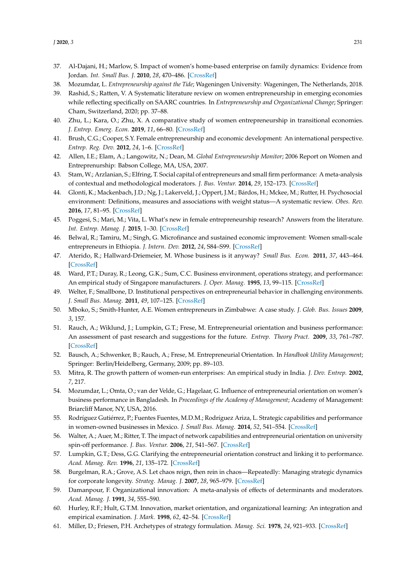- <span id="page-16-6"></span>37. Al-Dajani, H.; Marlow, S. Impact of women's home-based enterprise on family dynamics: Evidence from Jordan. *Int. Small Bus. J.* **2010**, *28*, 470–486. [\[CrossRef\]](http://dx.doi.org/10.1177/0266242610370392)
- <span id="page-16-9"></span>38. Mozumdar, L. *Entrepreneurship against the Tide*; Wageningen University: Wageningen, The Netherlands, 2018.
- 39. Rashid, S.; Ratten, V. A Systematic literature review on women entrepreneurship in emerging economies while reflecting specifically on SAARC countries. In *Entrepreneurship and Organizational Change*; Springer: Cham, Switzerland, 2020; pp. 37–88.
- <span id="page-16-0"></span>40. Zhu, L.; Kara, O.; Zhu, X. A comparative study of women entrepreneurship in transitional economies. *J. Entrep. Emerg. Econ.* **2019**, *11*, 66–80. [\[CrossRef\]](http://dx.doi.org/10.1108/JEEE-04-2017-0027)
- <span id="page-16-1"></span>41. Brush, C.G.; Cooper, S.Y. Female entrepreneurship and economic development: An international perspective. *Entrep. Reg. Dev.* **2012**, *24*, 1–6. [\[CrossRef\]](http://dx.doi.org/10.1080/08985626.2012.637340)
- <span id="page-16-2"></span>42. Allen, I.E.; Elam, A.; Langowitz, N.; Dean, M. *Global Entrepreneurship Monitor*; 2006 Report on Women and Entreprenurship: Babson College, MA, USA, 2007.
- <span id="page-16-3"></span>43. Stam, W.; Arzlanian, S.; Elfring, T. Social capital of entrepreneurs and small firm performance: A meta-analysis of contextual and methodological moderators. *J. Bus. Ventur.* **2014**, *29*, 152–173. [\[CrossRef\]](http://dx.doi.org/10.1016/j.jbusvent.2013.01.002)
- <span id="page-16-4"></span>44. Glonti, K.; Mackenbach, J.D.; Ng, J.; Lakerveld, J.; Oppert, J.M.; Bárdos, H.; Mckee, M.; Rutter, H. Psychosocial environment: Definitions, measures and associations with weight status—A systematic review. *Obes. Rev.* **2016**, *17*, 81–95. [\[CrossRef\]](http://dx.doi.org/10.1111/obr.12383)
- <span id="page-16-5"></span>45. Poggesi, S.; Mari, M.; Vita, L. What's new in female entrepreneurship research? Answers from the literature. *Int. Entrep. Manag. J.* **2015**, 1–30. [\[CrossRef\]](http://dx.doi.org/10.1007/s11365-015-0364-5)
- <span id="page-16-7"></span>46. Belwal, R.; Tamiru, M.; Singh, G. Microfinance and sustained economic improvement: Women small-scale entrepreneurs in Ethiopia. *J. Intern. Dev.* **2012**, *24*, S84–S99. [\[CrossRef\]](http://dx.doi.org/10.1002/jid.1782)
- <span id="page-16-8"></span>47. Aterido, R.; Hallward-Driemeier, M. Whose business is it anyway? *Small Bus. Econ.* **2011**, *37*, 443–464. [\[CrossRef\]](http://dx.doi.org/10.1007/s11187-011-9375-y)
- <span id="page-16-10"></span>48. Ward, P.T.; Duray, R.; Leong, G.K.; Sum, C.C. Business environment, operations strategy, and performance: An empirical study of Singapore manufacturers. *J. Oper. Manag.* **1995**, *13*, 99–115. [\[CrossRef\]](http://dx.doi.org/10.1016/0272-6963(95)00021-J)
- <span id="page-16-11"></span>49. Welter, F.; Smallbone, D. Institutional perspectives on entrepreneurial behavior in challenging environments. *J. Small Bus. Manag.* **2011**, *49*, 107–125. [\[CrossRef\]](http://dx.doi.org/10.1111/j.1540-627X.2010.00317.x)
- <span id="page-16-12"></span>50. Mboko, S.; Smith-Hunter, A.E. Women entrepreneurs in Zimbabwe: A case study. *J. Glob. Bus. Issues* **2009**, *3*, 157.
- <span id="page-16-13"></span>51. Rauch, A.; Wiklund, J.; Lumpkin, G.T.; Frese, M. Entrepreneurial orientation and business performance: An assessment of past research and suggestions for the future. *Entrep. Theory Pract.* **2009**, *33*, 761–787. [\[CrossRef\]](http://dx.doi.org/10.1111/j.1540-6520.2009.00308.x)
- <span id="page-16-20"></span>52. Bausch, A.; Schwenker, B.; Rauch, A.; Frese, M. Entrepreneurial Orientation. In *Handbook Utility Management*; Springer: Berlin/Heidelberg, Germany, 2009; pp. 89–103.
- 53. Mitra, R. The growth pattern of women-run enterprises: An empirical study in India. *J. Dev. Entrep.* **2002**, *7*, 217.
- <span id="page-16-14"></span>54. Mozumdar, L.; Omta, O.; van der Velde, G.; Hagelaar, G. Influence of entrepreneurial orientation on women's business performance in Bangladesh. In *Proceedings of the Academy of Management*; Academy of Management: Briarcliff Manor, NY, USA, 2016.
- <span id="page-16-15"></span>55. Rodríguez Gutiérrez, P.; Fuentes Fuentes, M.D.M.; Rodríguez Ariza, L. Strategic capabilities and performance in women-owned businesses in Mexico. *J. Small Bus. Manag.* **2014**, *52*, 541–554. [\[CrossRef\]](http://dx.doi.org/10.1111/jsbm.12048)
- 56. Walter, A.; Auer, M.; Ritter, T. The impact of network capabilities and entrepreneurial orientation on university spin-off performance. *J. Bus. Ventur.* **2006**, *21*, 541–567. [\[CrossRef\]](http://dx.doi.org/10.1016/j.jbusvent.2005.02.005)
- <span id="page-16-16"></span>57. Lumpkin, G.T.; Dess, G.G. Clarifying the entrepreneurial orientation construct and linking it to performance. *Acad. Manag. Rev.* **1996**, *21*, 135–172. [\[CrossRef\]](http://dx.doi.org/10.5465/amr.1996.9602161568)
- <span id="page-16-17"></span>58. Burgelman, R.A.; Grove, A.S. Let chaos reign, then rein in chaos—Repeatedly: Managing strategic dynamics for corporate longevity. *Strateg. Manag. J.* **2007**, *28*, 965–979. [\[CrossRef\]](http://dx.doi.org/10.1002/smj.625)
- <span id="page-16-18"></span>59. Damanpour, F. Organizational innovation: A meta-analysis of effects of determinants and moderators. *Acad. Manag. J.* **1991**, *34*, 555–590.
- <span id="page-16-19"></span>60. Hurley, R.F.; Hult, G.T.M. Innovation, market orientation, and organizational learning: An integration and empirical examination. *J. Mark.* **1998**, *62*, 42–54. [\[CrossRef\]](http://dx.doi.org/10.1177/002224299806200303)
- <span id="page-16-21"></span>61. Miller, D.; Friesen, P.H. Archetypes of strategy formulation. *Manag. Sci.* **1978**, *24*, 921–933. [\[CrossRef\]](http://dx.doi.org/10.1287/mnsc.24.9.921)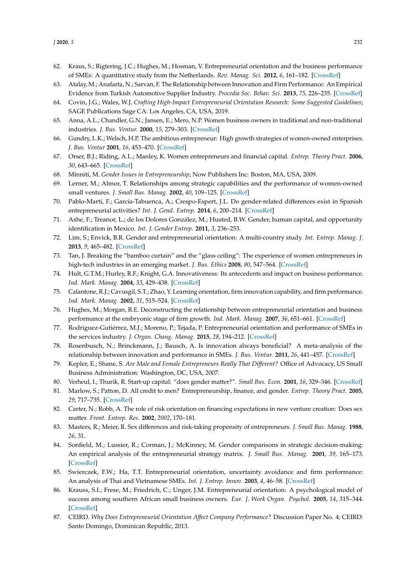- <span id="page-17-0"></span>62. Kraus, S.; Rigtering, J.C.; Hughes, M.; Hosman, V. Entrepreneurial orientation and the business performance of SMEs: A quantitative study from the Netherlands. *Rev. Manag. Sci.* **2012**, *6*, 161–182. [\[CrossRef\]](http://dx.doi.org/10.1007/s11846-011-0062-9)
- <span id="page-17-1"></span>63. Atalay, M.; Anafarta, N.; Sarvan, F. The Relationship between Innovation and Firm Performance: An Empirical Evidence from Turkish Automotive Supplier Industry. *Procedia Soc. Behav. Sci.* **2013**, *75*, 226–235. [\[CrossRef\]](http://dx.doi.org/10.1016/j.sbspro.2013.04.026)
- <span id="page-17-2"></span>64. Covin, J.G.; Wales, W.J. *Crafting High-Impact Entrepreneurial Orientation Research: Some Suggested Guidelines*; SAGE Publications Sage CA: Los Angeles, CA, USA, 2019.
- <span id="page-17-3"></span>65. Anna, A.L.; Chandler, G.N.; Jansen, E.; Mero, N.P. Women business owners in traditional and non-traditional industries. *J. Bus. Ventur.* **2000**, *15*, 279–303. [\[CrossRef\]](http://dx.doi.org/10.1016/S0883-9026(98)00012-3)
- 66. Gundry, L.K.; Welsch, H.P. The ambitious entrepreneur: High growth strategies of women-owned enterprises. *J. Bus. Ventur* **2001**, *16*, 453–470. [\[CrossRef\]](http://dx.doi.org/10.1016/S0883-9026(99)00059-2)
- 67. Orser, B.J.; Riding, A.L.; Manley, K. Women entrepreneurs and financial capital. *Entrep. Theory Pract.* **2006**, *30*, 643–665. [\[CrossRef\]](http://dx.doi.org/10.1111/j.1540-6520.2006.00140.x)
- <span id="page-17-4"></span>68. Minniti, M. *Gender Issues in Entrepreneurship*; Now Publishers Inc: Boston, MA, USA, 2009.
- <span id="page-17-5"></span>69. Lerner, M.; Almor, T. Relationships among strategic capabilities and the performance of women-owned small ventures. *J. Small Bus. Manag.* **2002**, *40*, 109–125. [\[CrossRef\]](http://dx.doi.org/10.1111/1540-627X.00044)
- <span id="page-17-6"></span>70. Pablo-Martí, F.; García-Tabuenca, A.; Crespo-Espert, J.L. Do gender-related differences exist in Spanish entrepreneurial activities? *Int. J. Gend. Entrep.* **2014**, *6*, 200–214. [\[CrossRef\]](http://dx.doi.org/10.1108/IJGE-01-2014-0005)
- <span id="page-17-7"></span>71. Ashe, F.; Treanor, L.; de los Dolores González, M.; Husted, B.W. Gender, human capital, and opportunity identification in Mexico. *Int. J. Gender Entrep.* **2011**, *3*, 236–253.
- <span id="page-17-18"></span>72. Lim, S.; Envick, B.R. Gender and entrepreneurial orientation: A multi-country study. *Int. Entrep. Manag. J.* **2013**, *9*, 465–482. [\[CrossRef\]](http://dx.doi.org/10.1007/s11365-011-0183-2)
- <span id="page-17-8"></span>73. Tan, J. Breaking the "bamboo curtain" and the "glass ceiling": The experience of women entrepreneurs in high-tech industries in an emerging market. *J. Bus. Ethics* **2008**, *80*, 547–564. [\[CrossRef\]](http://dx.doi.org/10.1007/s10551-007-9454-9)
- <span id="page-17-9"></span>74. Hult, G.T.M.; Hurley, R.F.; Knight, G.A. Innovativeness: Its antecedents and impact on business performance. *Ind. Mark. Manag.* **2004**, *33*, 429–438. [\[CrossRef\]](http://dx.doi.org/10.1016/j.indmarman.2003.08.015)
- <span id="page-17-10"></span>75. Calantone, R.J.; Cavusgil, S.T.; Zhao, Y. Learning orientation, firm innovation capability, and firm performance. *Ind. Mark. Manag.* **2002**, *31*, 515–524. [\[CrossRef\]](http://dx.doi.org/10.1016/S0019-8501(01)00203-6)
- <span id="page-17-11"></span>76. Hughes, M.; Morgan, R.E. Deconstructing the relationship between entrepreneurial orientation and business performance at the embryonic stage of firm growth. *Ind. Mark. Manag.* **2007**, *36*, 651–661. [\[CrossRef\]](http://dx.doi.org/10.1016/j.indmarman.2006.04.003)
- <span id="page-17-12"></span>77. Rodríguez-Gutiérrez, M.J.; Moreno, P.; Tejada, P. Entrepreneurial orientation and performance of SMEs in the services industry. *J. Organ. Chang. Manag.* **2015**, *28*, 194–212. [\[CrossRef\]](http://dx.doi.org/10.1108/JOCM-01-2015-0020)
- <span id="page-17-13"></span>78. Rosenbusch, N.; Brinckmann, J.; Bausch, A. Is innovation always beneficial? A meta-analysis of the relationship between innovation and performance in SMEs. *J. Bus. Ventur.* **2011**, *26*, 441–457. [\[CrossRef\]](http://dx.doi.org/10.1016/j.jbusvent.2009.12.002)
- <span id="page-17-14"></span>79. Kepler, E.; Shane, S. *Are Male and Female Entrepreneurs Really That Di*ff*erent?* Office of Advocacy, US Small Business Administration: Washington, DC, USA, 2007.
- <span id="page-17-15"></span>80. Verheul, I.; Thurik, R. Start-up capital: "does gender matter?". *Small Bus. Econ.* **2001**, *16*, 329–346. [\[CrossRef\]](http://dx.doi.org/10.1023/A:1011178629240)
- <span id="page-17-16"></span>81. Marlow, S.; Patton, D. All credit to men? Entrepreneurship, finance, and gender. *Entrep. Theory Pract.* **2005**, *29*, 717–735. [\[CrossRef\]](http://dx.doi.org/10.1111/j.1540-6520.2005.00105.x)
- <span id="page-17-17"></span>82. Carter, N.; Robb, A. The role of risk orientation on financing expectations in new venture creation: Does sex matter. *Front. Entrep. Res.* **2002**, *2002*, 170–181.
- <span id="page-17-19"></span>83. Masters, R.; Meier, R. Sex differences and risk-taking propensity of entrepreneurs. *J. Small Bus. Manag.* **1988**, *26*, 31.
- <span id="page-17-20"></span>84. Sonfield, M.; Lussier, R.; Corman, J.; McKinney, M. Gender comparisons in strategic decision-making: An empirical analysis of the entrepreneurial strategy matrix. *J. Small Bus. Manag.* **2001**, *39*, 165–173. [\[CrossRef\]](http://dx.doi.org/10.1111/1540-627X.00015)
- <span id="page-17-21"></span>85. Swierczek, F.W.; Ha, T.T. Entrepreneurial orientation, uncertainty avoidance and firm performance: An analysis of Thai and Vietnamese SMEs. *Int. J. Entrep. Innov.* **2003**, *4*, 46–58. [\[CrossRef\]](http://dx.doi.org/10.5367/000000003101299393)
- <span id="page-17-22"></span>86. Krauss, S.I.; Frese, M.; Friedrich, C.; Unger, J.M. Entrepreneurial orientation: A psychological model of success among southern African small business owners. *Eur. J. Work Organ. Psychol.* **2005**, *14*, 315–344. [\[CrossRef\]](http://dx.doi.org/10.1080/13594320500170227)
- <span id="page-17-23"></span>87. CEIRD. *Why Does Entrepreneurial Orientation A*ff*ect Company Performance?* Discussion Paper No. 4; CEIRD: Santo Domingo, Dominican Republic, 2013.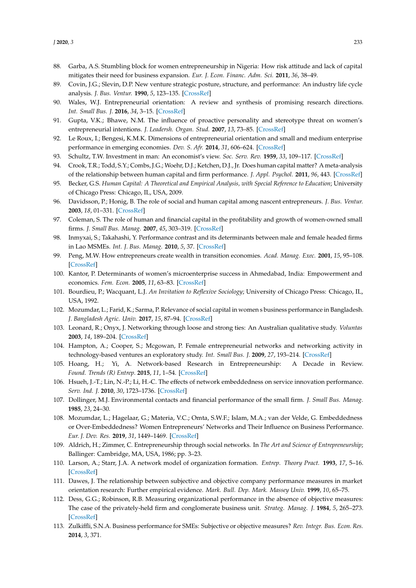- <span id="page-18-0"></span>88. Garba, A.S. Stumbling block for women entrepreneurship in Nigeria: How risk attitude and lack of capital mitigates their need for business expansion. *Eur. J. Econ. Financ. Adm. Sci.* **2011**, *36*, 38–49.
- <span id="page-18-1"></span>89. Covin, J.G.; Slevin, D.P. New venture strategic posture, structure, and performance: An industry life cycle analysis. *J. Bus. Ventur.* **1990**, *5*, 123–135. [\[CrossRef\]](http://dx.doi.org/10.1016/0883-9026(90)90004-D)
- <span id="page-18-2"></span>90. Wales, W.J. Entrepreneurial orientation: A review and synthesis of promising research directions. *Int. Small Bus. J.* **2016**, *34*, 3–15. [\[CrossRef\]](http://dx.doi.org/10.1177/0266242615613840)
- <span id="page-18-3"></span>91. Gupta, V.K.; Bhawe, N.M. The influence of proactive personality and stereotype threat on women's entrepreneurial intentions. *J. Leadersh. Organ. Stud.* **2007**, *13*, 73–85. [\[CrossRef\]](http://dx.doi.org/10.1177/10717919070130040901)
- <span id="page-18-4"></span>92. Le Roux, I.; Bengesi, K.M.K. Dimensions of entrepreneurial orientation and small and medium enterprise performance in emerging economies. *Dev. S. Afr.* **2014**, *31*, 606–624. [\[CrossRef\]](http://dx.doi.org/10.1080/0376835X.2014.913474)
- <span id="page-18-5"></span>93. Schultz, T.W. Investment in man: An economist's view. *Soc. Serv. Rev.* **1959**, *33*, 109–117. [\[CrossRef\]](http://dx.doi.org/10.1086/640656)
- <span id="page-18-6"></span>94. Crook, T.R.; Todd, S.Y.; Combs, J.G.; Woehr, D.J.; Ketchen, D.J., Jr. Does human capital matter? A meta-analysis of the relationship between human capital and firm performance. *J. Appl. Psychol.* **2011**, *96*, 443. [\[CrossRef\]](http://dx.doi.org/10.1037/a0022147)
- <span id="page-18-7"></span>95. Becker, G.S. *Human Capital: A Theoretical and Empirical Analysis, with Special Reference to Education*; University of Chicago Press: Chicago, IL, USA, 2009.
- <span id="page-18-8"></span>96. Davidsson, P.; Honig, B. The role of social and human capital among nascent entrepreneurs. *J. Bus. Ventur.* **2003**, *18*, 01–331. [\[CrossRef\]](http://dx.doi.org/10.1016/S0883-9026(02)00097-6)
- <span id="page-18-9"></span>97. Coleman, S. The role of human and financial capital in the profitability and growth of women-owned small firms. *J. Small Bus. Manag.* **2007**, *45*, 303–319. [\[CrossRef\]](http://dx.doi.org/10.1111/j.1540-627X.2007.00214.x)
- <span id="page-18-10"></span>98. Inmyxai, S.; Takahashi, Y. Performance contrast and its determinants between male and female headed firms in Lao MSMEs. *Int. J. Bus. Manag.* **2010**, *5*, 37. [\[CrossRef\]](http://dx.doi.org/10.5539/ijbm.v5n4p37)
- <span id="page-18-11"></span>99. Peng, M.W. How entrepreneurs create wealth in transition economies. *Acad. Manag. Exec.* **2001**, *15*, 95–108. [\[CrossRef\]](http://dx.doi.org/10.5465/ame.2001.4251397)
- <span id="page-18-12"></span>100. Kantor, P. Determinants of women's microenterprise success in Ahmedabad, India: Empowerment and economics. *Fem. Econ.* **2005**, *11*, 63–83. [\[CrossRef\]](http://dx.doi.org/10.1080/13545700500301163)
- <span id="page-18-13"></span>101. Bourdieu, P.; Wacquant, L.J. *An Invitation to Reflexive Sociology*; University of Chicago Press: Chicago, IL, USA, 1992.
- <span id="page-18-14"></span>102. Mozumdar, L.; Farid, K.; Sarma, P. Relevance of social capital in women s business performance in Bangladesh. *J. Bangladesh Agric. Univ.* **2017**, *15*, 87–94. [\[CrossRef\]](http://dx.doi.org/10.3329/jbau.v15i1.33533)
- <span id="page-18-15"></span>103. Leonard, R.; Onyx, J. Networking through loose and strong ties: An Australian qualitative study. *Voluntas* **2003**, *14*, 189–204. [\[CrossRef\]](http://dx.doi.org/10.1023/A:1023900111271)
- <span id="page-18-16"></span>104. Hampton, A.; Cooper, S.; Mcgowan, P. Female entrepreneurial networks and networking activity in technology-based ventures an exploratory study. *Int. Small Bus. J.* **2009**, *27*, 193–214. [\[CrossRef\]](http://dx.doi.org/10.1177/0266242608100490)
- <span id="page-18-17"></span>105. Hoang, H.; Yi, A. Network-based Research in Entrepreneurship: A Decade in Review. *Found. Trends (R) Entrep.* **2015**, *11*, 1–54. [\[CrossRef\]](http://dx.doi.org/10.1561/0300000052)
- 106. Hsueh, J.-T.; Lin, N.-P.; Li, H.-C. The effects of network embeddedness on service innovation performance. *Serv. Ind. J.* **2010**, *30*, 1723–1736. [\[CrossRef\]](http://dx.doi.org/10.1080/02642060903100398)
- <span id="page-18-24"></span>107. Dollinger, M.J. Environmental contacts and financial performance of the small firm. *J. Small Bus. Manag.* **1985**, *23*, 24–30.
- <span id="page-18-18"></span>108. Mozumdar, L.; Hagelaar, G.; Materia, V.C.; Omta, S.W.F.; Islam, M.A.; van der Velde, G. Embeddedness or Over-Embeddedness? Women Entrepreneurs' Networks and Their Influence on Business Performance. *Eur. J. Dev. Res.* **2019**, *31*, 1449–1469. [\[CrossRef\]](http://dx.doi.org/10.1057/s41287-019-00217-3)
- <span id="page-18-19"></span>109. Aldrich, H.; Zimmer, C. Entrepreneurship through social networks. In *The Art and Science of Entrepreneurship*; Ballinger: Cambridge, MA, USA, 1986; pp. 3–23.
- <span id="page-18-20"></span>110. Larson, A.; Starr, J.A. A network model of organization formation. *Entrep. Theory Pract.* **1993**, *17*, 5–16. [\[CrossRef\]](http://dx.doi.org/10.1177/104225879301700201)
- <span id="page-18-21"></span>111. Dawes, J. The relationship between subjective and objective company performance measures in market orientation research: Further empirical evidence. *Mark. Bull. Dep. Mark. Massey Univ.* **1999**, *10*, 65–75.
- <span id="page-18-23"></span>112. Dess, G.G.; Robinson, R.B. Measuring organizational performance in the absence of objective measures: The case of the privately-held firm and conglomerate business unit. *Strateg. Manag. J.* **1984**, *5*, 265–273. [\[CrossRef\]](http://dx.doi.org/10.1002/smj.4250050306)
- <span id="page-18-22"></span>113. Zulkiffli, S.N.A. Business performance for SMEs: Subjective or objective measures? *Rev. Integr. Bus. Econ. Res.* **2014**, *3*, 371.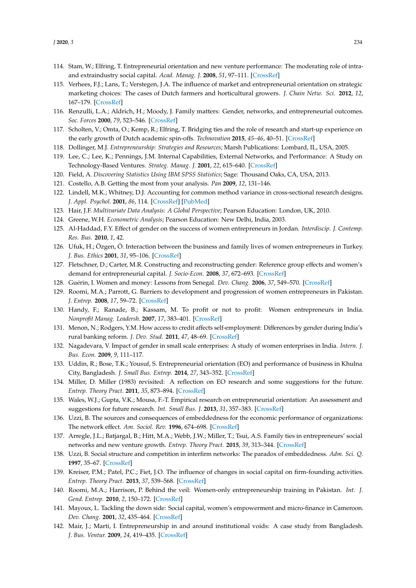- <span id="page-19-0"></span>114. Stam, W.; Elfring, T. Entrepreneurial orientation and new venture performance: The moderating role of intraand extraindustry social capital. *Acad. Manag. J.* **2008**, *51*, 97–111. [\[CrossRef\]](http://dx.doi.org/10.5465/amj.2008.30744031)
- <span id="page-19-1"></span>115. Verhees, F.J.; Lans, T.; Verstegen, J.A. The influence of market and entrepreneurial orientation on strategic marketing choices: The cases of Dutch farmers and horticultural growers. *J. Chain Netw. Sci.* **2012**, *12*, 167–179. [\[CrossRef\]](http://dx.doi.org/10.3920/JCNS2012.x011)
- <span id="page-19-2"></span>116. Renzulli, L.A.; Aldrich, H.; Moody, J. Family matters: Gender, networks, and entrepreneurial outcomes. *Soc. Forces* **2000**, *79*, 523–546. [\[CrossRef\]](http://dx.doi.org/10.2307/2675508)
- <span id="page-19-3"></span>117. Scholten, V.; Omta, O.; Kemp, R.; Elfring, T. Bridging ties and the role of research and start-up experience on the early growth of Dutch academic spin-offs. *Technovation* **2015**, *45–46*, 40–51. [\[CrossRef\]](http://dx.doi.org/10.1016/j.technovation.2015.05.001)
- <span id="page-19-4"></span>118. Dollinger, M.J. *Entrepreneurship: Strategies and Resources*; Marsh Publications: Lombard, IL, USA, 2005.
- <span id="page-19-5"></span>119. Lee, C.; Lee, K.; Pennings, J.M. Internal Capabilities, External Networks, and Performance: A Study on Technology-Based Ventures. *Strateg. Manag. J.* **2001**, *22*, 615–640. [\[CrossRef\]](http://dx.doi.org/10.1002/smj.181)
- <span id="page-19-6"></span>120. Field, A. *Discovering Statistics Using IBM SPSS Statistics*; Sage: Thousand Oaks, CA, USA, 2013.
- <span id="page-19-7"></span>121. Costello, A.B. Getting the most from your analysis. *Pan* **2009**, *12*, 131–146.
- <span id="page-19-8"></span>122. Lindell, M.K.; Whitney, D.J. Accounting for common method variance in cross-sectional research designs. *J. Appl. Psychol.* **2001**, *86*, 114. [\[CrossRef\]](http://dx.doi.org/10.1037/0021-9010.86.1.114) [\[PubMed\]](http://www.ncbi.nlm.nih.gov/pubmed/11302223)
- <span id="page-19-9"></span>123. Hair, J.F. *Multivariate Data Analysis: A Global Perspective*; Pearson Education: London, UK, 2010.
- <span id="page-19-11"></span><span id="page-19-10"></span>124. Greene, W.H. *Econometric Analysis*; Pearson Education: New Delhi, India, 2003.
- 125. Al-Haddad, F.Y. Effect of gender on the success of women entrepreneurs in Jordan. *Interdiscip. J. Contemp. Res. Bus.* **2010**, *1*, 42.
- <span id="page-19-12"></span>126. Ufuk, H.; Özgen, Ö. Interaction between the business and family lives of women entrepreneurs in Turkey. *J. Bus. Ethics* **2001**, *31*, 95–106. [\[CrossRef\]](http://dx.doi.org/10.1023/A:1010712023858)
- <span id="page-19-13"></span>127. Fletschner, D.; Carter, M.R. Constructing and reconstructing gender: Reference group effects and women's demand for entrepreneurial capital. *J. Socio-Econ.* **2008**, *37*, 672–693. [\[CrossRef\]](http://dx.doi.org/10.1016/j.socec.2006.12.054)
- 128. Guérin, I. Women and money: Lessons from Senegal. *Dev. Chang.* **2006**, *37*, 549–570. [\[CrossRef\]](http://dx.doi.org/10.1111/j.0012-155X.2006.00490.x)
- <span id="page-19-14"></span>129. Roomi, M.A.; Parrott, G. Barriers to development and progression of women entrepreneurs in Pakistan. *J. Entrep.* **2008**, *17*, 59–72. [\[CrossRef\]](http://dx.doi.org/10.1177/097135570701700105)
- <span id="page-19-15"></span>130. Handy, F.; Ranade, B.; Kassam, M. To profit or not to profit: Women entrepreneurs in India. *Nonprofit Manag. Leadersh.* **2007**, *17*, 383–401. [\[CrossRef\]](http://dx.doi.org/10.1002/nml.159)
- 131. Menon, N.; Rodgers, Y.M. How access to credit affects self-employment: Differences by gender during India's rural banking reform. *J. Dev. Stud.* **2011**, *47*, 48–69. [\[CrossRef\]](http://dx.doi.org/10.1080/00220381003706486)
- <span id="page-19-16"></span>132. Nagadevara, V. Impact of gender in small scale enterprises: A study of women enterprises in India. *Intern. J. Bus. Econ.* **2009**, *9*, 111–117.
- <span id="page-19-17"></span>133. Uddin, R.; Bose, T.K.; Yousuf, S. Entrepreneurial orientation (EO) and performance of business in Khulna City, Bangladesh. *J. Small Bus. Entrep.* **2014**, *27*, 343–352. [\[CrossRef\]](http://dx.doi.org/10.1080/08276331.2015.1067356)
- <span id="page-19-18"></span>134. Miller, D. Miller (1983) revisited: A reflection on EO research and some suggestions for the future. *Entrep. Theory Pract.* **2011**, *35*, 873–894. [\[CrossRef\]](http://dx.doi.org/10.1111/j.1540-6520.2011.00457.x)
- <span id="page-19-19"></span>135. Wales, W.J.; Gupta, V.K.; Mousa, F.-T. Empirical research on entrepreneurial orientation: An assessment and suggestions for future research. *Int. Small Bus. J.* **2013**, *31*, 357–383. [\[CrossRef\]](http://dx.doi.org/10.1177/0266242611418261)
- <span id="page-19-20"></span>136. Uzzi, B. The sources and consequences of embeddedness for the economic performance of organizations: The network effect. *Am. Sociol. Rev.* **1996**, 674–698. [\[CrossRef\]](http://dx.doi.org/10.2307/2096399)
- <span id="page-19-21"></span>137. Arregle, J.L.; Batjargal, B.; Hitt, M.A.; Webb, J.W.; Miller, T.; Tsui, A.S. Family ties in entrepreneurs' social networks and new venture growth. *Entrep. Theory Pract.* **2015**, *39*, 313–344. [\[CrossRef\]](http://dx.doi.org/10.1111/etap.12044)
- <span id="page-19-22"></span>138. Uzzi, B. Social structure and competition in interfirm networks: The paradox of embeddedness. *Adm. Sci. Q.* **1997**, 35–67. [\[CrossRef\]](http://dx.doi.org/10.2307/2393808)
- <span id="page-19-23"></span>139. Kreiser, P.M.; Patel, P.C.; Fiet, J.O. The influence of changes in social capital on firm-founding activities. *Entrep. Theory Pract.* **2013**, *37*, 539–568. [\[CrossRef\]](http://dx.doi.org/10.1111/etap.12039)
- <span id="page-19-24"></span>140. Roomi, M.A.; Harrison, P. Behind the veil: Women-only entrepreneurship training in Pakistan. *Int. J. Gend. Entrep.* **2010**, *2*, 150–172. [\[CrossRef\]](http://dx.doi.org/10.1108/17566261011051017)
- <span id="page-19-25"></span>141. Mayoux, L. Tackling the down side: Social capital, women's empowerment and micro-finance in Cameroon. *Dev. Chang.* **2001**, *32*, 435–464. [\[CrossRef\]](http://dx.doi.org/10.1111/1467-7660.00212)
- <span id="page-19-26"></span>142. Mair, J.; Marti, I. Entrepreneurship in and around institutional voids: A case study from Bangladesh. *J. Bus. Ventur.* **2009**, *24*, 419–435. [\[CrossRef\]](http://dx.doi.org/10.1016/j.jbusvent.2008.04.006)